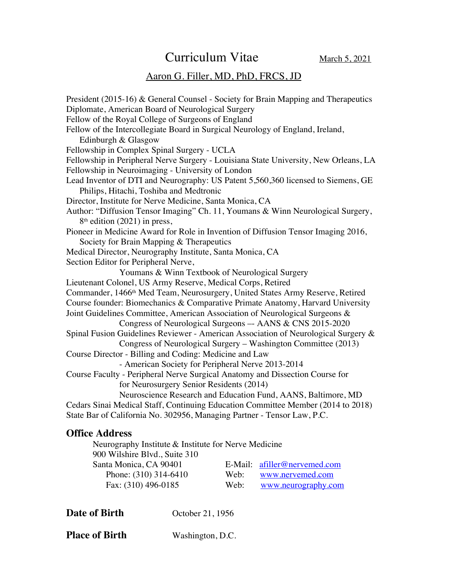Curriculum Vitae March 5, 2021

### Aaron G. Filler, MD, PhD, FRCS, JD

President (2015-16) & General Counsel - Society for Brain Mapping and Therapeutics Diplomate, American Board of Neurological Surgery Fellow of the Royal College of Surgeons of England Fellow of the Intercollegiate Board in Surgical Neurology of England, Ireland, Edinburgh & Glasgow Fellowship in Complex Spinal Surgery - UCLA Fellowship in Peripheral Nerve Surgery - Louisiana State University, New Orleans, LA Fellowship in Neuroimaging - University of London Lead Inventor of DTI and Neurography: US Patent 5,560,360 licensed to Siemens, GE Philips, Hitachi, Toshiba and Medtronic Director, Institute for Nerve Medicine, Santa Monica, CA Author: "Diffusion Tensor Imaging" Ch. 11, Youmans & Winn Neurological Surgery, 8th edition (2021) in press, Pioneer in Medicine Award for Role in Invention of Diffusion Tensor Imaging 2016, Society for Brain Mapping & Therapeutics Medical Director, Neurography Institute, Santa Monica, CA Section Editor for Peripheral Nerve, Youmans & Winn Textbook of Neurological Surgery Lieutenant Colonel, US Army Reserve, Medical Corps, Retired Commander, 1466th Med Team, Neurosurgery, United States Army Reserve, Retired Course founder: Biomechanics & Comparative Primate Anatomy, Harvard University Joint Guidelines Committee, American Association of Neurological Surgeons & Congress of Neurological Surgeons –- AANS & CNS 2015-2020 Spinal Fusion Guidelines Reviewer - American Association of Neurological Surgery & Congress of Neurological Surgery – Washington Committee (2013) Course Director - Billing and Coding: Medicine and Law - American Society for Peripheral Nerve 2013-2014 Course Faculty - Peripheral Nerve Surgical Anatomy and Dissection Course for for Neurosurgery Senior Residents (2014) Neuroscience Research and Education Fund, AANS, Baltimore, MD Cedars Sinai Medical Staff, Continuing Education Committee Member (2014 to 2018) State Bar of California No. 302956, Managing Partner - Tensor Law, P.C.

#### **Office Address**

Neurography Institute & Institute for Nerve Medicine 900 Wilshire Blvd., Suite 310 Santa Monica, CA 90401 E-Mail: afiller@nervemed.com Phone: (310) 314-6410 Web: www.nervemed.com Fax: (310) 496-0185 Web: www.neurography.com

**Date of Birth** October 21, 1956

**Place of Birth** Washington, D.C.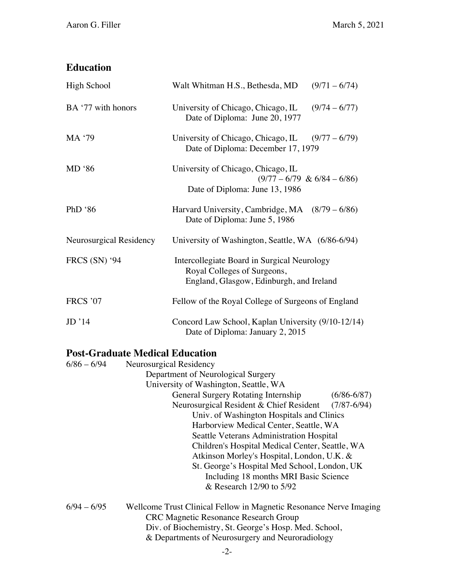# **Education**

| High School             | Walt Whitman H.S., Bethesda, MD<br>$(9/71 - 6/74)$                                                                     |
|-------------------------|------------------------------------------------------------------------------------------------------------------------|
| BA '77 with honors      | University of Chicago, Chicago, IL $(9/74 - 6/77)$<br>Date of Diploma: June 20, 1977                                   |
| MA '79                  | University of Chicago, Chicago, IL<br>$(9/77 - 6/79)$<br>Date of Diploma: December 17, 1979                            |
| $MD$ '86                | University of Chicago, Chicago, IL<br>$(9/77 - 6/79 \& 6/84 - 6/86)$<br>Date of Diploma: June 13, 1986                 |
| PhD '86                 | Harvard University, Cambridge, MA (8/79 – 6/86)<br>Date of Diploma: June 5, 1986                                       |
| Neurosurgical Residency | University of Washington, Seattle, WA (6/86-6/94)                                                                      |
| <b>FRCS (SN) '94</b>    | Intercollegiate Board in Surgical Neurology<br>Royal Colleges of Surgeons,<br>England, Glasgow, Edinburgh, and Ireland |
| <b>FRCS '07</b>         | Fellow of the Royal College of Surgeons of England                                                                     |
| JD'14                   | Concord Law School, Kaplan University (9/10-12/14)<br>Date of Diploma: January 2, 2015                                 |

# **Post-Graduate Medical Education**

| $6/86 - 6/94$ | Neurosurgical Residency                                            |                 |
|---------------|--------------------------------------------------------------------|-----------------|
|               | Department of Neurological Surgery                                 |                 |
|               | University of Washington, Seattle, WA                              |                 |
|               | <b>General Surgery Rotating Internship</b>                         | $(6/86 - 6/87)$ |
|               | Neurosurgical Resident & Chief Resident                            | $(7/87 - 6/94)$ |
|               | Univ. of Washington Hospitals and Clinics                          |                 |
|               | Harborview Medical Center, Seattle, WA                             |                 |
|               | Seattle Veterans Administration Hospital                           |                 |
|               | Children's Hospital Medical Center, Seattle, WA                    |                 |
|               | Atkinson Morley's Hospital, London, U.K. &                         |                 |
|               | St. George's Hospital Med School, London, UK                       |                 |
|               | Including 18 months MRI Basic Science                              |                 |
|               | & Research 12/90 to 5/92                                           |                 |
| $6/94 - 6/95$ | Wellcome Trust Clinical Fellow in Magnetic Resonance Nerve Imaging |                 |
|               | <b>CRC Magnetic Resonance Research Group</b>                       |                 |
|               | Div. of Biochemistry, St. George's Hosp. Med. School,              |                 |

& Departments of Neurosurgery and Neuroradiology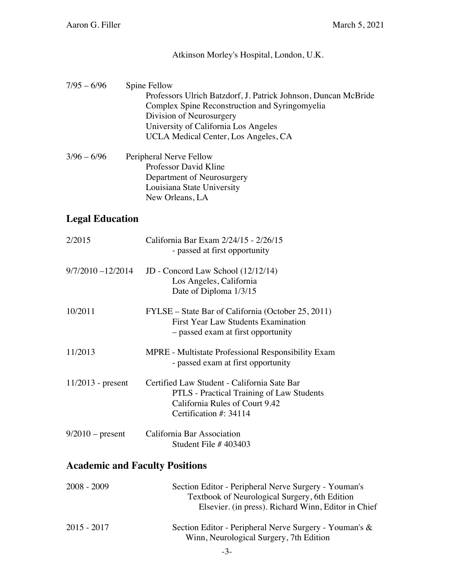#### Atkinson Morley's Hospital, London, U.K.

- $7/95 6/96$  Spine Fellow Professors Ulrich Batzdorf, J. Patrick Johnson, Duncan McBride Complex Spine Reconstruction and Syringomyelia Division of Neurosurgery University of California Los Angeles UCLA Medical Center, Los Angeles, CA
- $3/96 6/96$  Peripheral Nerve Fellow Professor David Kline Department of Neurosurgery Louisiana State University New Orleans, LA

### **Legal Education**

| 2/2015                                | California Bar Exam 2/24/15 - 2/26/15<br>- passed at first opportunity                                                                                       |  |
|---------------------------------------|--------------------------------------------------------------------------------------------------------------------------------------------------------------|--|
| $9/7/2010 - 12/2014$                  | JD - Concord Law School (12/12/14)<br>Los Angeles, California<br>Date of Diploma 1/3/15                                                                      |  |
| 10/2011                               | FYLSE – State Bar of California (October 25, 2011)<br><b>First Year Law Students Examination</b><br>- passed exam at first opportunity                       |  |
| 11/2013                               | MPRE - Multistate Professional Responsibility Exam<br>- passed exam at first opportunity                                                                     |  |
| $11/2013$ - present                   | Certified Law Student - California Sate Bar<br>PTLS - Practical Training of Law Students<br>California Rules of Court 9.42<br>Certification #: 34114         |  |
| $9/2010$ – present                    | California Bar Association<br>Student File $#403403$                                                                                                         |  |
| <b>Academic and Faculty Positions</b> |                                                                                                                                                              |  |
| $2008 - 2009$                         | Section Editor - Peripheral Nerve Surgery - Youman's<br>Textbook of Neurological Surgery, 6th Edition<br>Elsevier. (in press). Richard Winn, Editor in Chief |  |
| 2015 - 2017                           | Section Editor - Peripheral Nerve Surgery - Youman's &<br>Winn, Neurological Surgery, 7th Edition                                                            |  |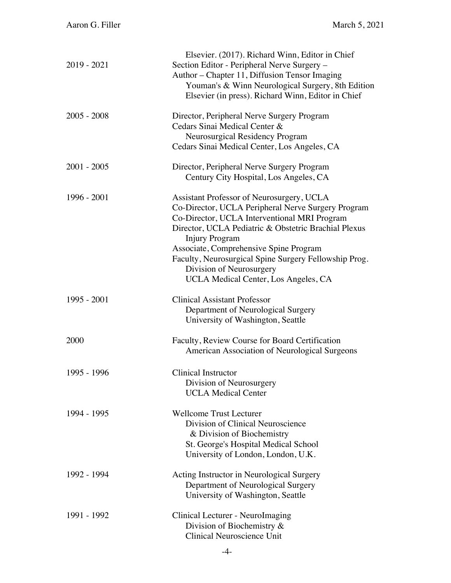| $2019 - 2021$ |                                                                                                   |
|---------------|---------------------------------------------------------------------------------------------------|
|               | Section Editor - Peripheral Nerve Surgery -<br>Author – Chapter 11, Diffusion Tensor Imaging      |
|               | Youman's & Winn Neurological Surgery, 8th Edition                                                 |
|               | Elsevier (in press). Richard Winn, Editor in Chief                                                |
| $2005 - 2008$ | Director, Peripheral Nerve Surgery Program                                                        |
|               | Cedars Sinai Medical Center &                                                                     |
|               | Neurosurgical Residency Program                                                                   |
|               | Cedars Sinai Medical Center, Los Angeles, CA                                                      |
| $2001 - 2005$ | Director, Peripheral Nerve Surgery Program                                                        |
|               | Century City Hospital, Los Angeles, CA                                                            |
| 1996 - 2001   | Assistant Professor of Neurosurgery, UCLA                                                         |
|               | Co-Director, UCLA Peripheral Nerve Surgery Program                                                |
|               | Co-Director, UCLA Interventional MRI Program                                                      |
|               | Director, UCLA Pediatric & Obstetric Brachial Plexus                                              |
|               | <b>Injury Program</b><br>Associate, Comprehensive Spine Program                                   |
|               | Faculty, Neurosurgical Spine Surgery Fellowship Prog.                                             |
|               | Division of Neurosurgery                                                                          |
|               | UCLA Medical Center, Los Angeles, CA                                                              |
| 1995 - 2001   | <b>Clinical Assistant Professor</b>                                                               |
|               | Department of Neurological Surgery                                                                |
|               | University of Washington, Seattle                                                                 |
| 2000          |                                                                                                   |
|               | American Association of Neurological Surgeons                                                     |
|               |                                                                                                   |
|               |                                                                                                   |
|               | <b>UCLA Medical Center</b>                                                                        |
| 1994 - 1995   | <b>Wellcome Trust Lecturer</b>                                                                    |
|               | Division of Clinical Neuroscience                                                                 |
|               | & Division of Biochemistry                                                                        |
|               | St. George's Hospital Medical School                                                              |
|               | University of London, London, U.K.                                                                |
| 1992 - 1994   | Acting Instructor in Neurological Surgery                                                         |
|               | Department of Neurological Surgery                                                                |
|               | University of Washington, Seattle                                                                 |
|               |                                                                                                   |
| 1991 - 1992   | Clinical Lecturer - NeuroImaging                                                                  |
|               | Division of Biochemistry $\&$<br>Clinical Neuroscience Unit                                       |
| 1995 - 1996   | Faculty, Review Course for Board Certification<br>Clinical Instructor<br>Division of Neurosurgery |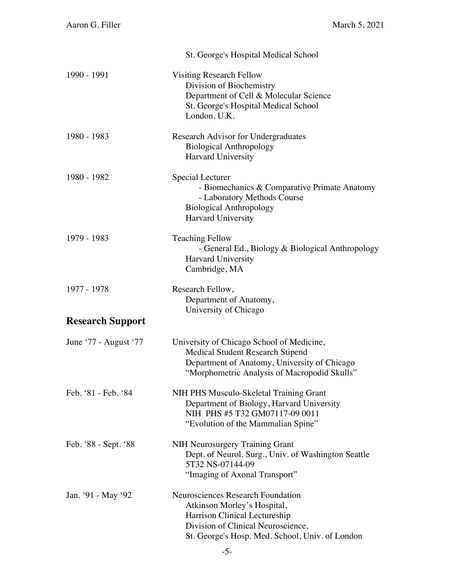|                         | St. George's Hospital Medical School                                                                                                                                                       |
|-------------------------|--------------------------------------------------------------------------------------------------------------------------------------------------------------------------------------------|
| 1990 - 1991             | <b>Visiting Research Fellow</b><br>Division of Biochemistry<br>Department of Cell & Molecular Science<br>St. George's Hospital Medical School<br>London, U.K.                              |
| 1980 - 1983             | Research Advisor for Undergraduates<br><b>Biological Anthropology</b><br>Harvard University                                                                                                |
| 1980 - 1982             | Special Lecturer<br>- Biomechanics & Comparative Primate Anatomy<br>- Laboratory Methods Course<br><b>Biological Anthropology</b><br>Harvard University                                    |
| 1979 - 1983             | <b>Teaching Fellow</b><br>- General Ed., Biology & Biological Anthropology<br><b>Harvard University</b><br>Cambridge, MA                                                                   |
| 1977 - 1978             | Research Fellow,<br>Department of Anatomy,<br>University of Chicago                                                                                                                        |
| <b>Research Support</b> |                                                                                                                                                                                            |
| June '77 - August '77   | University of Chicago School of Medicine,<br><b>Medical Student Research Stipend</b><br>Department of Anatomy, University of Chicago<br>"Morphometric Analysis of Macropodid Skulls"       |
| Feb. '81 - Feb. '84     | NIH PHS Musculo-Skeletal Training Grant<br>Department of Biology, Harvard University<br>NIH PHS #5 T32 GM07117-09 0011<br>"Evolution of the Mammalian Spine"                               |
| Feb. '88 - Sept. '88    | <b>NIH Neurosurgery Training Grant</b><br>Dept. of Neurol. Surg., Univ. of Washington Seattle<br>5T32 NS-07144-09<br>"Imaging of Axonal Transport"                                         |
| Jan. '91 - May '92      | Neurosciences Research Foundation<br>Atkinson Morley's Hospital,<br>Harrison Clinical Lectureship<br>Division of Clinical Neuroscience,<br>St. George's Hosp. Med. School, Univ. of London |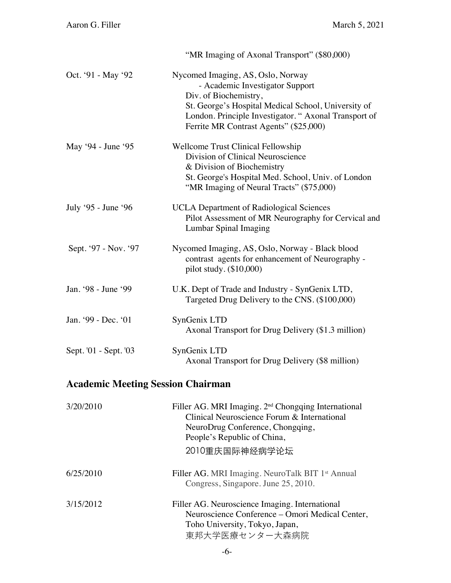|                                          | "MR Imaging of Axonal Transport" (\$80,000)                                                                                                                                                                                                            |
|------------------------------------------|--------------------------------------------------------------------------------------------------------------------------------------------------------------------------------------------------------------------------------------------------------|
| Oct. '91 - May '92                       | Nycomed Imaging, AS, Oslo, Norway<br>- Academic Investigator Support<br>Div. of Biochemistry,<br>St. George's Hospital Medical School, University of<br>London. Principle Investigator. "Axonal Transport of<br>Ferrite MR Contrast Agents" (\$25,000) |
| May '94 - June '95                       | <b>Wellcome Trust Clinical Fellowship</b><br>Division of Clinical Neuroscience<br>& Division of Biochemistry<br>St. George's Hospital Med. School, Univ. of London<br>"MR Imaging of Neural Tracts" (\$75,000)                                         |
| July '95 - June '96                      | <b>UCLA Department of Radiological Sciences</b><br>Pilot Assessment of MR Neurography for Cervical and<br>Lumbar Spinal Imaging                                                                                                                        |
| Sept. '97 - Nov. '97                     | Nycomed Imaging, AS, Oslo, Norway - Black blood<br>contrast agents for enhancement of Neurography -<br>pilot study. (\$10,000)                                                                                                                         |
| Jan. '98 - June '99                      | U.K. Dept of Trade and Industry - SynGenix LTD,<br>Targeted Drug Delivery to the CNS. (\$100,000)                                                                                                                                                      |
| Jan. '99 - Dec. '01                      | SynGenix LTD<br>Axonal Transport for Drug Delivery (\$1.3 million)                                                                                                                                                                                     |
| Sept. '01 - Sept. '03                    | SynGenix LTD<br>Axonal Transport for Drug Delivery (\$8 million)                                                                                                                                                                                       |
| <b>Academic Meeting Session Chairman</b> |                                                                                                                                                                                                                                                        |
| 3/20/2010                                | Filler AG. MRI Imaging. 2 <sup>nd</sup> Chongqing International<br>Clinical Neuroscience Forum & International<br>NeuroDrug Conference, Chongqing,<br>People's Republic of China,<br>2010重庆国际神经病学论坛                                                    |
| 6/25/2010                                | Filler AG. MRI Imaging. NeuroTalk BIT 1 <sup>st</sup> Annual<br>Congress, Singapore. June 25, 2010.                                                                                                                                                    |
| 3/15/2012                                | Filler AG. Neuroscience Imaging. International<br>Neuroscience Conference - Omori Medical Center,<br>Toho University, Tokyo, Japan,<br>東邦大学医療センター大森病院                                                                                                  |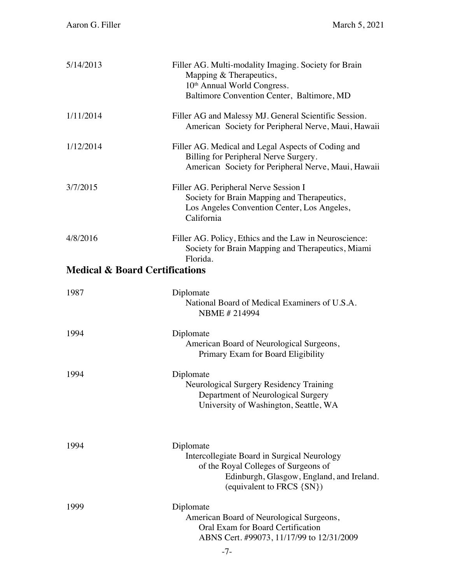| 5/14/2013                                 | Filler AG. Multi-modality Imaging. Society for Brain<br>Mapping & Therapeutics,<br>10 <sup>th</sup> Annual World Congress.<br>Baltimore Convention Center, Baltimore, MD   |
|-------------------------------------------|----------------------------------------------------------------------------------------------------------------------------------------------------------------------------|
| 1/11/2014                                 | Filler AG and Malessy MJ. General Scientific Session.<br>American Society for Peripheral Nerve, Maui, Hawaii                                                               |
| 1/12/2014                                 | Filler AG. Medical and Legal Aspects of Coding and<br>Billing for Peripheral Nerve Surgery.<br>American Society for Peripheral Nerve, Maui, Hawaii                         |
| 3/7/2015                                  | Filler AG. Peripheral Nerve Session I<br>Society for Brain Mapping and Therapeutics,<br>Los Angeles Convention Center, Los Angeles,<br>California                          |
| 4/8/2016                                  | Filler AG. Policy, Ethics and the Law in Neuroscience:<br>Society for Brain Mapping and Therapeutics, Miami<br>Florida.                                                    |
| <b>Medical &amp; Board Certifications</b> |                                                                                                                                                                            |
| 1987                                      | Diplomate<br>National Board of Medical Examiners of U.S.A.<br>NBME #214994                                                                                                 |
| 1994                                      | Diplomate<br>American Board of Neurological Surgeons,<br>Primary Exam for Board Eligibility                                                                                |
| 1994                                      | Diplomate<br>Neurological Surgery Residency Training<br>Department of Neurological Surgery<br>University of Washington, Seattle, WA                                        |
| 1994                                      | Diplomate<br>Intercollegiate Board in Surgical Neurology<br>of the Royal Colleges of Surgeons of<br>Edinburgh, Glasgow, England, and Ireland.<br>(equivalent to FRCS {SN}) |
| 1999                                      | Diplomate<br>American Board of Neurological Surgeons,<br>Oral Exam for Board Certification<br>ABNS Cert. #99073, 11/17/99 to 12/31/2009                                    |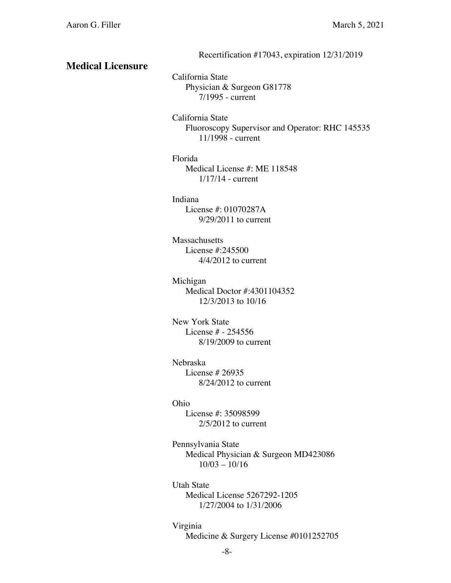Recertification #17043, expiration 12/31/2019

### **Medical Licensure**

California State Physician & Surgeon G81778 7/1995 - current

California State Fluoroscopy Supervisor and Operator: RHC 145535 11/1998 - current

#### Florida

Medical License #: ME 118548 1/17/14 - current

#### Indiana

License #: 01070287A 9/29/2011 to current

#### **Massachusetts**

License #:245500 4/4/2012 to current

Michigan Medical Doctor #:4301104352 12/3/2013 to 10/16

New York State License # - 254556 8/19/2009 to current

#### Nebraska

License # 26935 8/24/2012 to current

#### Ohio

License #: 35098599 2/5/2012 to current

Pennsylvania State Medical Physician & Surgeon MD423086 10/03 – 10/16

Utah State Medical License 5267292-1205 1/27/2004 to 1/31/2006

#### Virginia

Medicine & Surgery License #0101252705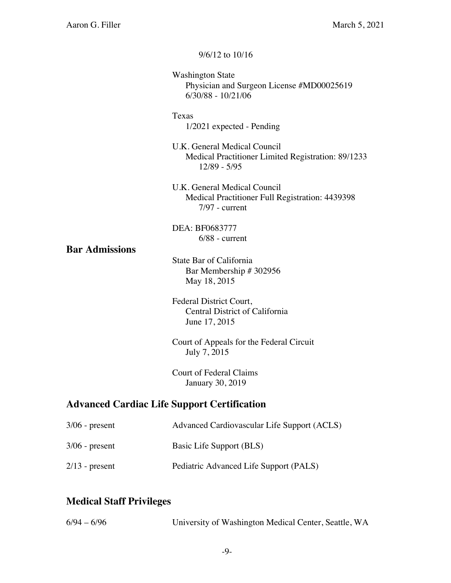|                                                    | $9/6/12$ to $10/16$                                                                                 |  |
|----------------------------------------------------|-----------------------------------------------------------------------------------------------------|--|
|                                                    | <b>Washington State</b><br>Physician and Surgeon License #MD00025619<br>$6/30/88 - 10/21/06$        |  |
|                                                    | Texas<br>$1/2021$ expected - Pending                                                                |  |
|                                                    | U.K. General Medical Council<br>Medical Practitioner Limited Registration: 89/1233<br>12/89 - 5/95  |  |
|                                                    | U.K. General Medical Council<br>Medical Practitioner Full Registration: 4439398<br>$7/97$ - current |  |
| <b>Bar Admissions</b>                              | DEA: BF0683777<br>$6/88$ - current                                                                  |  |
|                                                    | State Bar of California<br>Bar Membership # 302956<br>May 18, 2015                                  |  |
|                                                    | Federal District Court,<br>Central District of California<br>June 17, 2015                          |  |
|                                                    | Court of Appeals for the Federal Circuit<br>July 7, 2015                                            |  |
|                                                    | <b>Court of Federal Claims</b><br>January 30, 2019                                                  |  |
| <b>Advanced Cardiac Life Support Certification</b> |                                                                                                     |  |
| $3/06$ - present                                   | Advanced Cardiovascular Life Support (ACLS)                                                         |  |

3/06 - present Basic Life Support (BLS)

# 2/13 - present Pediatric Advanced Life Support (PALS)

# **Medical Staff Privileges**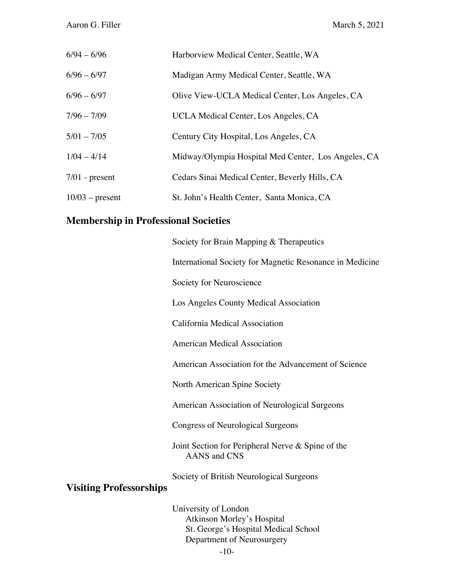| $6/94 - 6/96$     | Harborview Medical Center, Seattle, WA              |
|-------------------|-----------------------------------------------------|
| $6/96 - 6/97$     | Madigan Army Medical Center, Seattle, WA            |
| $6/96 - 6/97$     | Olive View-UCLA Medical Center, Los Angeles, CA     |
| $7/96 - 7/09$     | UCLA Medical Center, Los Angeles, CA                |
| $5/01 - 7/05$     | Century City Hospital, Los Angeles, CA              |
| $1/04 - 4/14$     | Midway/Olympia Hospital Med Center, Los Angeles, CA |
| $7/01$ - present  | Cedars Sinai Medical Center, Beverly Hills, CA      |
| $10/03$ – present | St. John's Health Center, Santa Monica, CA          |

#### **Membership in Professional Societies**

Society for Brain Mapping & Therapeutics

International Society for Magnetic Resonance in Medicine

Society for Neuroscience

Los Angeles County Medical Association

California Medical Association

American Medical Association

American Association for the Advancement of Science

North American Spine Society

American Association of Neurological Surgeons

Congress of Neurological Surgeons

Joint Section for Peripheral Nerve & Spine of the AANS and CNS

Society of British Neurological Surgeons

# **Visiting Professorships**

University of London Atkinson Morley's Hospital St. George's Hospital Medical School Department of Neurosurgery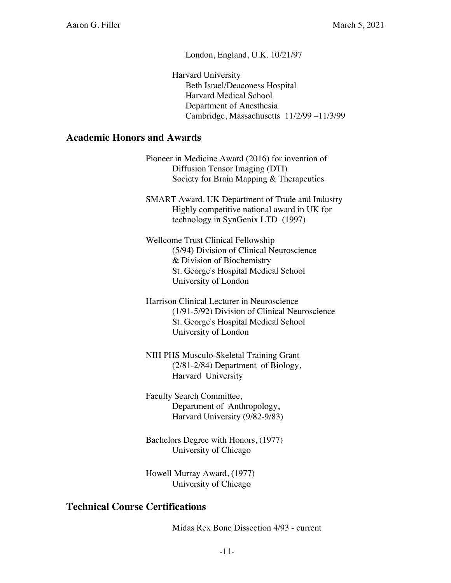London, England, U.K. 10/21/97

Harvard University Beth Israel/Deaconess Hospital Harvard Medical School Department of Anesthesia Cambridge, Massachusetts 11/2/99 –11/3/99

#### **Academic Honors and Awards**

 Pioneer in Medicine Award (2016) for invention of Diffusion Tensor Imaging (DTI) Society for Brain Mapping & Therapeutics

SMART Award. UK Department of Trade and Industry Highly competitive national award in UK for technology in SynGenix LTD (1997)

Wellcome Trust Clinical Fellowship (5/94) Division of Clinical Neuroscience & Division of Biochemistry St. George's Hospital Medical School University of London

- Harrison Clinical Lecturer in Neuroscience (1/91-5/92) Division of Clinical Neuroscience St. George's Hospital Medical School University of London
- NIH PHS Musculo-Skeletal Training Grant (2/81-2/84) Department of Biology, Harvard University

Faculty Search Committee, Department of Anthropology, Harvard University (9/82-9/83)

Bachelors Degree with Honors, (1977) University of Chicago

Howell Murray Award, (1977) University of Chicago

### **Technical Course Certifications**

Midas Rex Bone Dissection 4/93 - current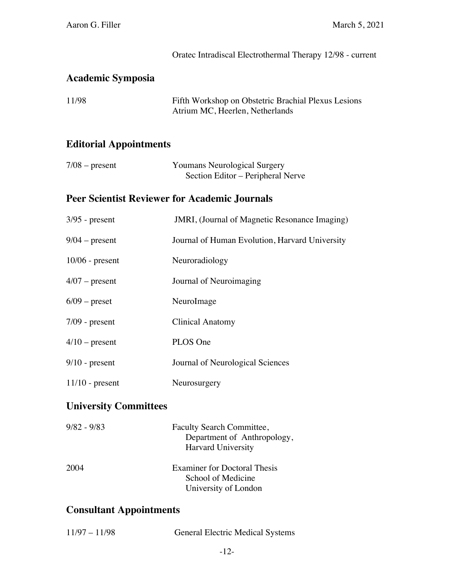|                                | Oratec Intradiscal Electrothermal Therapy 12/98 - current                              |
|--------------------------------|----------------------------------------------------------------------------------------|
| <b>Academic Symposia</b>       |                                                                                        |
| 11/98                          | Fifth Workshop on Obstetric Brachial Plexus Lesions<br>Atrium MC, Heerlen, Netherlands |
| <b>Editorial Appointments</b>  |                                                                                        |
| $7/08$ – present               | <b>Youmans Neurological Surgery</b><br>Section Editor - Peripheral Nerve               |
|                                | <b>Peer Scientist Reviewer for Academic Journals</b>                                   |
| $3/95$ - present               | JMRI, (Journal of Magnetic Resonance Imaging)                                          |
| $9/04$ – present               | Journal of Human Evolution, Harvard University                                         |
| $10/06$ - present              | Neuroradiology                                                                         |
| $4/07$ – present               | Journal of Neuroimaging                                                                |
| $6/09$ – preset                | NeuroImage                                                                             |
| $7/09$ - present               | <b>Clinical Anatomy</b>                                                                |
| $4/10$ – present               | PLOS One                                                                               |
| $9/10$ - present               | Journal of Neurological Sciences                                                       |
| $11/10$ - present              | Neurosurgery                                                                           |
| <b>University Committees</b>   |                                                                                        |
| $9/82 - 9/83$                  | Faculty Search Committee,<br>Department of Anthropology,<br>Harvard University         |
| 2004                           | <b>Examiner for Doctoral Thesis</b><br>School of Medicine<br>University of London      |
| <b>Consultant Appointments</b> |                                                                                        |

| $11/97 - 11/98$ | <b>General Electric Medical Systems</b> |
|-----------------|-----------------------------------------|
|                 |                                         |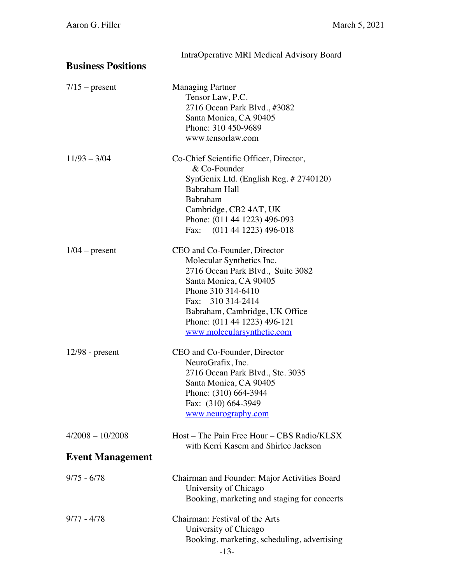| <b>Business Positions</b> | IntraOperative MRI Medical Advisory Board                                                                                                                                                                                                                                                         |
|---------------------------|---------------------------------------------------------------------------------------------------------------------------------------------------------------------------------------------------------------------------------------------------------------------------------------------------|
| $7/15$ – present          | <b>Managing Partner</b><br>Tensor Law, P.C.<br>2716 Ocean Park Blvd., #3082<br>Santa Monica, CA 90405<br>Phone: 310 450-9689                                                                                                                                                                      |
| $11/93 - 3/04$            | www.tensorlaw.com<br>Co-Chief Scientific Officer, Director,<br>& Co-Founder<br>SynGenix Ltd. (English Reg. # 2740120)<br>Babraham Hall<br>Babraham<br>Cambridge, CB2 4AT, UK<br>Phone: (011 44 1223) 496-093                                                                                      |
| $1/04$ – present          | Fax: (011 44 1223) 496-018<br>CEO and Co-Founder, Director<br>Molecular Synthetics Inc.<br>2716 Ocean Park Blvd., Suite 3082<br>Santa Monica, CA 90405<br>Phone 310 314-6410<br>Fax: 310 314-2414<br>Babraham, Cambridge, UK Office<br>Phone: (011 44 1223) 496-121<br>www.molecularsynthetic.com |
| $12/98$ - present         | CEO and Co-Founder, Director<br>NeuroGrafix, Inc.<br>2716 Ocean Park Blvd., Ste. 3035<br>Santa Monica, CA 90405<br>Phone: (310) 664-3944<br>Fax: (310) 664-3949<br>www.neurography.com                                                                                                            |
| $4/2008 - 10/2008$        | Host – The Pain Free Hour – CBS Radio/KLSX<br>with Kerri Kasem and Shirlee Jackson                                                                                                                                                                                                                |
| <b>Event Management</b>   |                                                                                                                                                                                                                                                                                                   |
| $9/75 - 6/78$             | Chairman and Founder: Major Activities Board<br>University of Chicago<br>Booking, marketing and staging for concerts                                                                                                                                                                              |
| $9/77 - 4/78$             | Chairman: Festival of the Arts<br>University of Chicago<br>Booking, marketing, scheduling, advertising<br>$-13-$                                                                                                                                                                                  |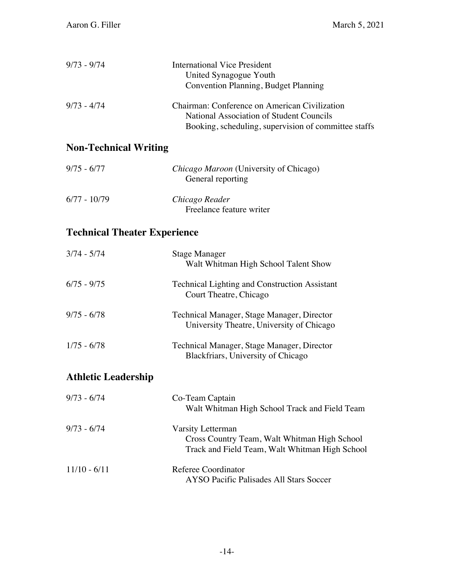| $9/73 - 9/74$ | International Vice President<br>United Synagogue Youth<br>Convention Planning, Budget Planning                                                    |
|---------------|---------------------------------------------------------------------------------------------------------------------------------------------------|
| $9/73 - 4/74$ | Chairman: Conference on American Civilization<br>National Association of Student Councils<br>Booking, scheduling, supervision of committee staffs |

# **Non-Technical Writing**

| $9/75 - 6/77$  | <i>Chicago Maroon</i> (University of Chicago) |
|----------------|-----------------------------------------------|
|                | General reporting                             |
| $6/77 - 10/79$ | Chicago Reader                                |
|                | Freelance feature writer                      |

# **Technical Theater Experience**

| $3/74 - 5/74$              | Stage Manager<br>Walt Whitman High School Talent Show                                                               |
|----------------------------|---------------------------------------------------------------------------------------------------------------------|
| $6/75 - 9/75$              | <b>Technical Lighting and Construction Assistant</b><br>Court Theatre, Chicago                                      |
| $9/75 - 6/78$              | Technical Manager, Stage Manager, Director<br>University Theatre, University of Chicago                             |
| $1/75 - 6/78$              | Technical Manager, Stage Manager, Director<br>Blackfriars, University of Chicago                                    |
| <b>Athletic Leadership</b> |                                                                                                                     |
| $9/73 - 6/74$              | Co-Team Captain<br>Walt Whitman High School Track and Field Team                                                    |
| $9/73 - 6/74$              | Varsity Letterman<br>Cross Country Team, Walt Whitman High School<br>Track and Field Team, Walt Whitman High School |
| $11/10 - 6/11$             | Referee Coordinator<br>AYSO Pacific Palisades All Stars Soccer                                                      |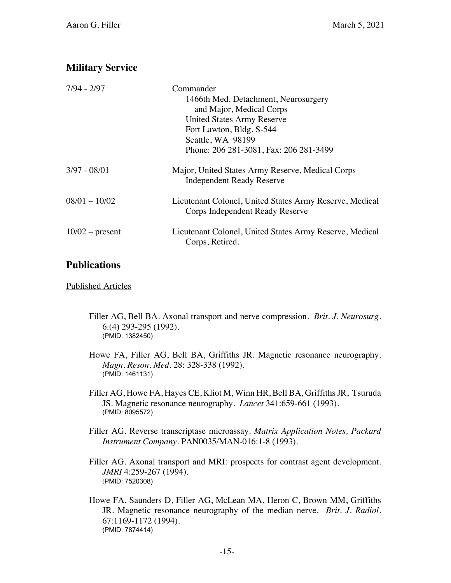# **Military Service**

| $7/94 - 2/97$     | Commander                                                                                  |
|-------------------|--------------------------------------------------------------------------------------------|
|                   | 1466th Med. Detachment, Neurosurgery                                                       |
|                   | and Major, Medical Corps                                                                   |
|                   | <b>United States Army Reserve</b>                                                          |
|                   | Fort Lawton, Bldg. S-544                                                                   |
|                   | Seattle, WA 98199                                                                          |
|                   | Phone: 206 281-3081, Fax: 206 281-3499                                                     |
| $3/97 - 08/01$    | Major, United States Army Reserve, Medical Corps<br><b>Independent Ready Reserve</b>       |
| $08/01 - 10/02$   | Lieutenant Colonel, United States Army Reserve, Medical<br>Corps Independent Ready Reserve |
| $10/02$ – present | Lieutenant Colonel, United States Army Reserve, Medical<br>Corps, Retired.                 |

# **Publications**

Published Articles

- Filler AG, Bell BA. Axonal transport and nerve compression. *Brit. J. Neurosurg.* 6:(4) 293-295 (1992). (PMID: 1382450)
- Howe FA, Filler AG, Bell BA, Griffiths JR. Magnetic resonance neurography. *Magn. Reson. Med.* 28: 328-338 (1992). (PMID: 1461131)

Filler AG, Howe FA, Hayes CE, Kliot M, Winn HR, Bell BA, Griffiths JR, Tsuruda JS. Magnetic resonance neurography. *Lancet* 341:659-661 (1993). (PMID: 8095572)

- Filler AG. Reverse transcriptase microassay. *Matrix Application Notes, Packard Instrument Company*. PAN0035/MAN-016:1-8 (1993).
- Filler AG. Axonal transport and MRI: prospects for contrast agent development. *JMRI* 4:259-267 (1994). (PMID: 7520308)
- Howe FA, Saunders D, Filler AG, McLean MA, Heron C, Brown MM, Griffiths JR. Magnetic resonance neurography of the median nerve. *Brit. J. Radiol.* 67:1169-1172 (1994). (PMID: 7874414)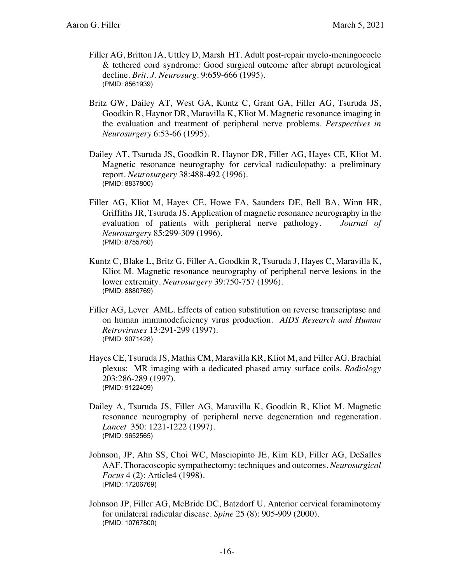- Filler AG, Britton JA, Uttley D, Marsh HT. Adult post-repair myelo-meningocoele & tethered cord syndrome: Good surgical outcome after abrupt neurological decline. *Brit. J. Neurosurg.* 9:659-666 (1995). (PMID: 8561939)
- Britz GW, Dailey AT, West GA, Kuntz C, Grant GA, Filler AG, Tsuruda JS, Goodkin R, Haynor DR, Maravilla K, Kliot M. Magnetic resonance imaging in the evaluation and treatment of peripheral nerve problems. *Perspectives in Neurosurgery* 6:53-66 (1995).
- Dailey AT, Tsuruda JS, Goodkin R, Haynor DR, Filler AG, Hayes CE, Kliot M. Magnetic resonance neurography for cervical radiculopathy: a preliminary report. *Neurosurgery* 38:488-492 (1996). (PMID: 8837800)
- Filler AG, Kliot M, Hayes CE, Howe FA, Saunders DE, Bell BA, Winn HR, Griffiths JR, Tsuruda JS. Application of magnetic resonance neurography in the evaluation of patients with peripheral nerve pathology*. Journal of Neurosurgery* 85:299-309 (1996). (PMID: 8755760)
- Kuntz C, Blake L, Britz G, Filler A, Goodkin R, Tsuruda J, Hayes C, Maravilla K, Kliot M. Magnetic resonance neurography of peripheral nerve lesions in the lower extremity. *Neurosurgery* 39:750-757 (1996). (PMID: 8880769)
- Filler AG, Lever AML. Effects of cation substitution on reverse transcriptase and on human immunodeficiency virus production*. AIDS Research and Human Retroviruses* 13:291-299 (1997). (PMID: 9071428)
- Hayes CE, Tsuruda JS, Mathis CM, Maravilla KR, Kliot M, and Filler AG. Brachial plexus: MR imaging with a dedicated phased array surface coils. *Radiology* 203:286-289 (1997). (PMID: 9122409)
- Dailey A, Tsuruda JS, Filler AG, Maravilla K, Goodkin R, Kliot M. Magnetic resonance neurography of peripheral nerve degeneration and regeneration. *Lancet* 350: 1221-1222 (1997). (PMID: 9652565)
- Johnson, JP, Ahn SS, Choi WC, Masciopinto JE, Kim KD, Filler AG, DeSalles AAF. Thoracoscopic sympathectomy: techniques and outcomes. *Neurosurgical Focus* 4 (2): Article4 (1998). (PMID: 17206769)
- Johnson JP, Filler AG, McBride DC, Batzdorf U. Anterior cervical foraminotomy for unilateral radicular disease. *Spine* 25 (8): 905-909 (2000). (PMID: 10767800)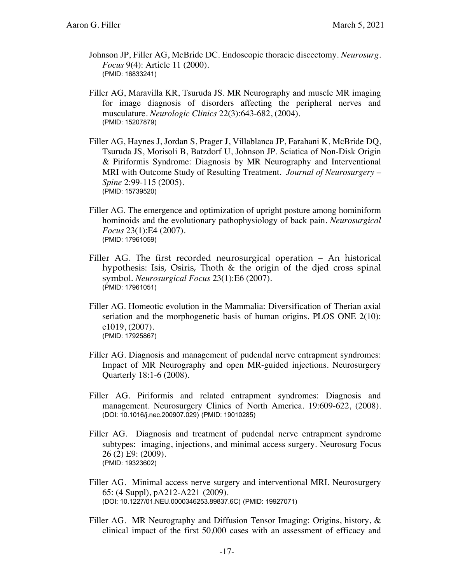- Johnson JP, Filler AG, McBride DC. Endoscopic thoracic discectomy. *Neurosurg. Focus* 9(4): Article 11 (2000). (PMID: 16833241)
- Filler AG, Maravilla KR, Tsuruda JS. MR Neurography and muscle MR imaging for image diagnosis of disorders affecting the peripheral nerves and musculature. *Neurologic Clinics* 22(3):643-682, (2004). (PMID: 15207879)
- Filler AG, Haynes J, Jordan S, Prager J, Villablanca JP, Farahani K, McBride DQ, Tsuruda JS, Morisoli B, Batzdorf U, Johnson JP. Sciatica of Non-Disk Origin & Piriformis Syndrome: Diagnosis by MR Neurography and Interventional MRI with Outcome Study of Resulting Treatment. *Journal of Neurosurgery – Spine* 2:99-115 (2005). (PMID: 15739520)
- Filler AG. The emergence and optimization of upright posture among hominiform hominoids and the evolutionary pathophysiology of back pain. *Neurosurgical Focus* 23(1):E4 (2007). (PMID: 17961059)
- Filler AG. The first recorded neurosurgical operation An historical hypothesis: Isis, Osiris, Thoth & the origin of the died cross spinal symbol. *Neurosurgical Focus* 23(1):E6 (2007). (PMID: 17961051)
- Filler AG. Homeotic evolution in the Mammalia: Diversification of Therian axial seriation and the morphogenetic basis of human origins. PLOS ONE 2(10): e1019, (2007). (PMID: 17925867)
- Filler AG. Diagnosis and management of pudendal nerve entrapment syndromes: Impact of MR Neurography and open MR-guided injections. Neurosurgery Quarterly 18:1-6 (2008).
- Filler AG. Piriformis and related entrapment syndromes: Diagnosis and management. Neurosurgery Clinics of North America. 19:609-622, (2008). (DOI: 10.1016/j.nec.200907.029) (PMID: 19010285)
- Filler AG. Diagnosis and treatment of pudendal nerve entrapment syndrome subtypes: imaging, injections, and minimal access surgery. Neurosurg Focus 26 (2) E9: (2009). (PMID: 19323602)
- Filler AG. Minimal access nerve surgery and interventional MRI. Neurosurgery 65: (4 Suppl), pA212-A221 (2009). (DOI: 10.1227/01.NEU.0000346253.89837.6C) (PMID: 19927071)
- Filler AG. MR Neurography and Diffusion Tensor Imaging: Origins, history, & clinical impact of the first 50,000 cases with an assessment of efficacy and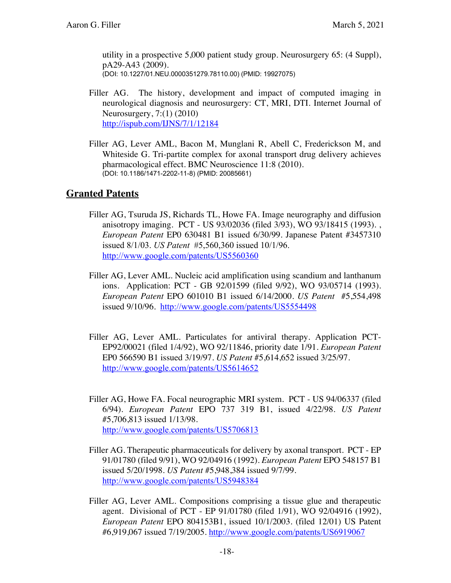utility in a prospective 5,000 patient study group. Neurosurgery 65: (4 Suppl), pA29-A43 (2009). (DOI: 10.1227/01.NEU.0000351279.78110.00) (PMID: 19927075)

- Filler AG. The history, development and impact of computed imaging in neurological diagnosis and neurosurgery: CT, MRI, DTI. Internet Journal of Neurosurgery, 7:(1) (2010) http://ispub.com/IJNS/7/1/12184
- Filler AG, Lever AML, Bacon M, Munglani R, Abell C, Frederickson M, and Whiteside G. Tri-partite complex for axonal transport drug delivery achieves pharmacological effect. BMC Neuroscience 11:8 (2010). (DOI: 10.1186/1471-2202-11-8) (PMID: 20085661)

### **Granted Patents**

- Filler AG, Tsuruda JS, Richards TL, Howe FA. Image neurography and diffusion anisotropy imaging. PCT - US 93/02036 (filed 3/93), WO 93/18415 (1993). , *European Patent* EP0 630481 B1 issued 6/30/99. Japanese Patent #3457310 issued 8/1/03. *US Patent* #5,560,360 issued 10/1/96. http://www.google.com/patents/US5560360
- Filler AG, Lever AML. Nucleic acid amplification using scandium and lanthanum ions. Application: PCT - GB 92/01599 (filed 9/92), WO 93/05714 (1993). *European Patent* EPO 601010 B1 issued 6/14/2000. *US Patent* #5,554,498 issued 9/10/96. http://www.google.com/patents/US5554498
- Filler AG, Lever AML. Particulates for antiviral therapy. Application PCT-EP92/00021 (filed 1/4/92), WO 92/11846, priority date 1/91. *European Patent* EP0 566590 B1 issued 3/19/97. *US Patent* #5,614,652 issued 3/25/97. http://www.google.com/patents/US5614652
- Filler AG, Howe FA. Focal neurographic MRI system. PCT US 94/06337 (filed 6/94). *European Patent* EPO 737 319 B1, issued 4/22/98. *US Patent* #5,706,813 issued 1/13/98. http://www.google.com/patents/US5706813
- Filler AG. Therapeutic pharmaceuticals for delivery by axonal transport. PCT EP 91/01780 (filed 9/91), WO 92/04916 (1992). *European Patent* EPO 548157 B1 issued 5/20/1998. *US Patent* #5,948,384 issued 9/7/99. http://www.google.com/patents/US5948384
- Filler AG, Lever AML. Compositions comprising a tissue glue and therapeutic agent. Divisional of PCT - EP 91/01780 (filed 1/91), WO 92/04916 (1992), *European Patent* EPO 804153B1, issued 10/1/2003. (filed 12/01) US Patent #6,919,067 issued 7/19/2005. http://www.google.com/patents/US6919067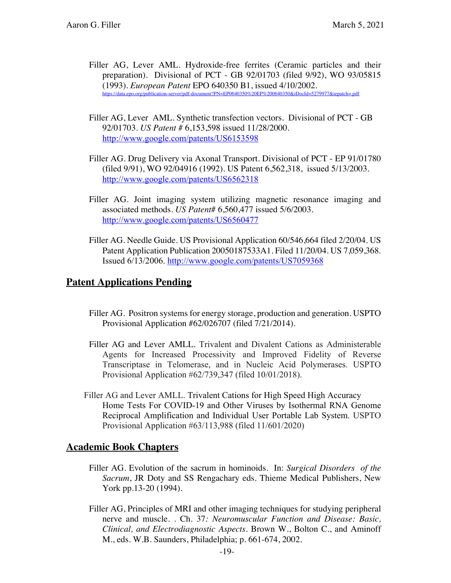- Filler AG, Lever AML. Hydroxide-free ferrites (Ceramic particles and their preparation). Divisional of PCT - GB 92/01703 (filed 9/92), WO 93/05815 (1993). *European Patent* EPO 640350 B1, issued 4/10/2002. https://data.epo.org/publication-server/pdf-document?PN=EP0640350%20EP%200640350&iDocId=5279977&iepatch=.pdf
- Filler AG, Lever AML. Synthetic transfection vectors. Divisional of PCT GB 92/01703. *US Patent* # 6,153,598 issued 11/28/2000. http://www.google.com/patents/US6153598
- Filler AG. Drug Delivery via Axonal Transport. Divisional of PCT EP 91/01780 (filed 9/91), WO 92/04916 (1992). US Patent 6,562,318, issued 5/13/2003. http://www.google.com/patents/US6562318
- Filler AG. Joint imaging system utilizing magnetic resonance imaging and associated methods. *US Patent*# 6,560,477 issued 5/6/2003. http://www.google.com/patents/US6560477
- Filler AG. Needle Guide. US Provisional Application 60/546,664 filed 2/20/04. US Patent Application Publication 20050187533A1. Filed 11/20/04. US 7,059,368. Issued 6/13/2006. http://www.google.com/patents/US7059368

### **Patent Applications Pending**

- Filler AG. Positron systems for energy storage, production and generation. USPTO Provisional Application #62/026707 (filed 7/21/2014).
- Filler AG and Lever AMLL. Trivalent and Divalent Cations as Administerable Agents for Increased Processivity and Improved Fidelity of Reverse Transcriptase in Telomerase, and in Nucleic Acid Polymerases. USPTO Provisional Application #62/739,347 (filed 10/01/2018).
- Filler AG and Lever AMLL. Trivalent Cations for High Speed High Accuracy Home Tests For COVID-19 and Other Viruses by Isothermal RNA Genome Reciprocal Amplification and Individual User Portable Lab System. USPTO Provisional Application #63/113,988 (filed 11/601/2020)

#### **Academic Book Chapters**

- Filler AG. Evolution of the sacrum in hominoids. In: *Surgical Disorders of the Sacrum*, JR Doty and SS Rengachary eds. Thieme Medical Publishers, New York pp.13-20 (1994).
- Filler AG, Principles of MRI and other imaging techniques for studying peripheral nerve and muscle. . Ch. 37*: Neuromuscular Function and Disease: Basic, Clinical, and Electrodiagnostic Aspects*. Brown W., Bolton C., and Aminoff M., eds. W.B. Saunders, Philadelphia; p. 661-674, 2002.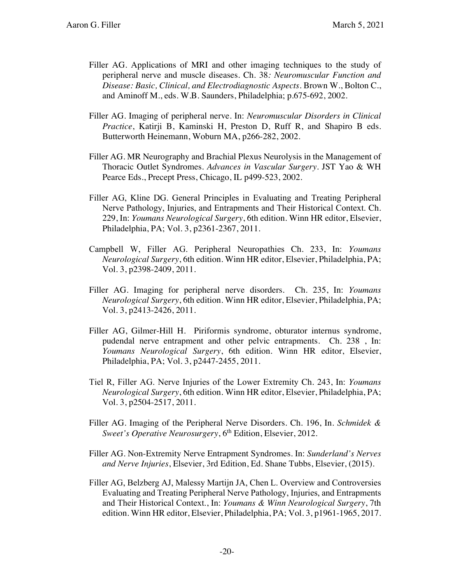- Filler AG. Applications of MRI and other imaging techniques to the study of peripheral nerve and muscle diseases. Ch. 38*: Neuromuscular Function and Disease: Basic, Clinical, and Electrodiagnostic Aspects*. Brown W., Bolton C., and Aminoff M., eds. W.B. Saunders, Philadelphia; p.675-692, 2002.
- Filler AG. Imaging of peripheral nerve. In: *Neuromuscular Disorders in Clinical Practice*, Katirji B, Kaminski H, Preston D, Ruff R, and Shapiro B eds. Butterworth Heinemann, Woburn MA, p266-282, 2002.
- Filler AG. MR Neurography and Brachial Plexus Neurolysis in the Management of Thoracic Outlet Syndromes. *Advances in Vascular Surgery*. JST Yao & WH Pearce Eds., Precept Press, Chicago, IL p499-523, 2002.
- Filler AG, Kline DG. General Principles in Evaluating and Treating Peripheral Nerve Pathology, Injuries, and Entrapments and Their Historical Context. Ch. 229, In: *Youmans Neurological Surgery*, 6th edition. Winn HR editor, Elsevier, Philadelphia, PA; Vol. 3, p2361-2367, 2011.
- Campbell W, Filler AG. Peripheral Neuropathies Ch. 233, In: *Youmans Neurological Surgery*, 6th edition. Winn HR editor, Elsevier, Philadelphia, PA; Vol. 3, p2398-2409, 2011.
- Filler AG. Imaging for peripheral nerve disorders. Ch. 235, In: *Youmans Neurological Surgery*, 6th edition. Winn HR editor, Elsevier, Philadelphia, PA; Vol. 3, p2413-2426, 2011.
- Filler AG, Gilmer-Hill H. Piriformis syndrome, obturator internus syndrome, pudendal nerve entrapment and other pelvic entrapments. Ch. 238 , In: *Youmans Neurological Surgery*, 6th edition. Winn HR editor, Elsevier, Philadelphia, PA; Vol. 3, p2447-2455, 2011.
- Tiel R, Filler AG. Nerve Injuries of the Lower Extremity Ch. 243, In: *Youmans Neurological Surgery*, 6th edition. Winn HR editor, Elsevier, Philadelphia, PA; Vol. 3, p2504-2517, 2011.
- Filler AG. Imaging of the Peripheral Nerve Disorders. Ch. 196, In. *Schmidek & Sweet's Operative Neurosurgery*, 6<sup>th</sup> Edition, Elsevier, 2012.
- Filler AG. Non-Extremity Nerve Entrapment Syndromes. In: *Sunderland's Nerves and Nerve Injuries*, Elsevier, 3rd Edition, Ed. Shane Tubbs, Elsevier, (2015).
- Filler AG, Belzberg AJ, Malessy Martijn JA, Chen L. Overview and Controversies Evaluating and Treating Peripheral Nerve Pathology, Injuries, and Entrapments and Their Historical Context., In: *Youmans & Winn Neurological Surgery*, 7th edition. Winn HR editor, Elsevier, Philadelphia, PA; Vol. 3, p1961-1965, 2017.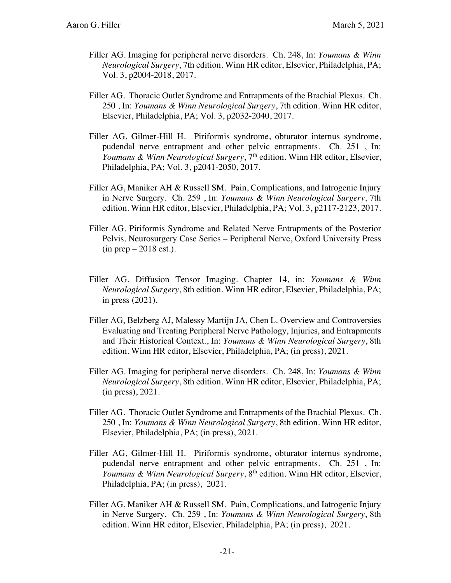- Filler AG. Imaging for peripheral nerve disorders. Ch. 248, In: *Youmans & Winn Neurological Surgery*, 7th edition. Winn HR editor, Elsevier, Philadelphia, PA; Vol. 3, p2004-2018, 2017.
- Filler AG. Thoracic Outlet Syndrome and Entrapments of the Brachial Plexus. Ch. 250 , In: *Youmans & Winn Neurological Surgery*, 7th edition. Winn HR editor, Elsevier, Philadelphia, PA; Vol. 3, p2032-2040, 2017.
- Filler AG, Gilmer-Hill H. Piriformis syndrome, obturator internus syndrome, pudendal nerve entrapment and other pelvic entrapments. Ch. 251 , In: *Youmans* & *Winn Neurological Surgery*, 7<sup>th</sup> edition. Winn HR editor, Elsevier, Philadelphia, PA; Vol. 3, p2041-2050, 2017.
- Filler AG, Maniker AH & Russell SM. Pain, Complications, and Iatrogenic Injury in Nerve Surgery. Ch. 259 , In: *Youmans & Winn Neurological Surgery*, 7th edition. Winn HR editor, Elsevier, Philadelphia, PA; Vol. 3, p2117-2123, 2017.
- Filler AG. Piriformis Syndrome and Related Nerve Entrapments of the Posterior Pelvis. Neurosurgery Case Series – Peripheral Nerve, Oxford University Press  $(in prep-2018 est.).$
- Filler AG. Diffusion Tensor Imaging. Chapter 14, in: *Youmans & Winn Neurological Surgery*, 8th edition. Winn HR editor, Elsevier, Philadelphia, PA; in press (2021).
- Filler AG, Belzberg AJ, Malessy Martijn JA, Chen L. Overview and Controversies Evaluating and Treating Peripheral Nerve Pathology, Injuries, and Entrapments and Their Historical Context., In: *Youmans & Winn Neurological Surgery*, 8th edition. Winn HR editor, Elsevier, Philadelphia, PA; (in press), 2021.
- Filler AG. Imaging for peripheral nerve disorders. Ch. 248, In: *Youmans & Winn Neurological Surgery*, 8th edition. Winn HR editor, Elsevier, Philadelphia, PA; (in press), 2021.
- Filler AG. Thoracic Outlet Syndrome and Entrapments of the Brachial Plexus. Ch. 250 , In: *Youmans & Winn Neurological Surgery*, 8th edition. Winn HR editor, Elsevier, Philadelphia, PA; (in press), 2021.
- Filler AG, Gilmer-Hill H. Piriformis syndrome, obturator internus syndrome, pudendal nerve entrapment and other pelvic entrapments. Ch. 251 , In: *Youmans* & *Winn Neurological Surgery*, 8<sup>th</sup> edition. Winn HR editor, Elsevier, Philadelphia, PA; (in press), 2021.
- Filler AG, Maniker AH & Russell SM. Pain, Complications, and Iatrogenic Injury in Nerve Surgery. Ch. 259 , In: *Youmans & Winn Neurological Surgery*, 8th edition. Winn HR editor, Elsevier, Philadelphia, PA; (in press), 2021.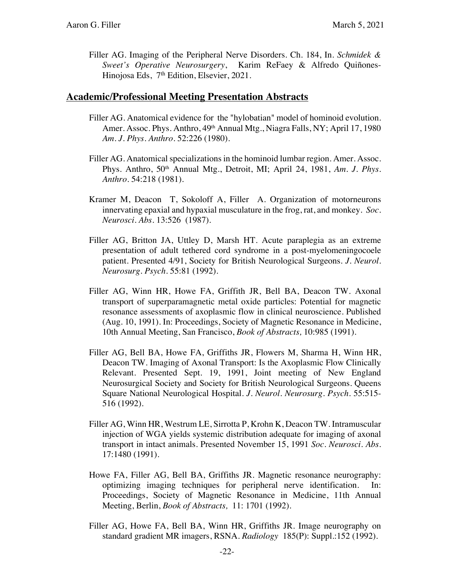Filler AG. Imaging of the Peripheral Nerve Disorders. Ch. 184, In. *Schmidek & Sweet's Operative Neurosurgery*, Karim ReFaey & Alfredo Quiñones-Hinojosa Eds, 7<sup>th</sup> Edition, Elsevier, 2021.

#### **Academic/Professional Meeting Presentation Abstracts**

- Filler AG. Anatomical evidence for the "hylobatian" model of hominoid evolution. Amer. Assoc. Phys. Anthro, 49<sup>th</sup> Annual Mtg., Niagra Falls, NY; April 17, 1980 *Am. J. Phys. Anthro.* 52:226 (1980).
- Filler AG. Anatomical specializations in the hominoid lumbar region. Amer. Assoc. Phys. Anthro, 50<sup>th</sup> Annual Mtg., Detroit, MI; April 24, 1981, Am. J. Phys. *Anthro.* 54:218 (1981).
- Kramer M, Deacon T, Sokoloff A, Filler A. Organization of motorneurons innervating epaxial and hypaxial musculature in the frog, rat, and monkey. *Soc. Neurosci. Abs.* 13:526 (1987).
- Filler AG, Britton JA, Uttley D, Marsh HT. Acute paraplegia as an extreme presentation of adult tethered cord syndrome in a post-myelomeningocoele patient. Presented 4/91, Society for British Neurological Surgeons. *J. Neurol. Neurosurg. Psych.* 55:81 (1992).
- Filler AG, Winn HR, Howe FA, Griffith JR, Bell BA, Deacon TW. Axonal transport of superparamagnetic metal oxide particles: Potential for magnetic resonance assessments of axoplasmic flow in clinical neuroscience. Published (Aug. 10, 1991). In: Proceedings, Society of Magnetic Resonance in Medicine, 10th Annual Meeting, San Francisco, *Book of Abstracts,* 10:985 (1991).
- Filler AG, Bell BA, Howe FA, Griffiths JR, Flowers M, Sharma H, Winn HR, Deacon TW. Imaging of Axonal Transport: Is the Axoplasmic Flow Clinically Relevant. Presented Sept. 19, 1991, Joint meeting of New England Neurosurgical Society and Society for British Neurological Surgeons. Queens Square National Neurological Hospital. *J. Neurol. Neurosurg. Psych.* 55:515- 516 (1992).
- Filler AG, Winn HR, Westrum LE, Sirrotta P, Krohn K, Deacon TW. Intramuscular injection of WGA yields systemic distribution adequate for imaging of axonal transport in intact animals. Presented November 15, 1991 *Soc. Neurosci. Abs.*  17:1480 (1991).
- Howe FA, Filler AG, Bell BA, Griffiths JR. Magnetic resonance neurography: optimizing imaging techniques for peripheral nerve identification. In: Proceedings, Society of Magnetic Resonance in Medicine, 11th Annual Meeting, Berlin, *Book of Abstracts,* 11: 1701 (1992).
- Filler AG, Howe FA, Bell BA, Winn HR, Griffiths JR. Image neurography on standard gradient MR imagers, RSNA. *Radiology* 185(P): Suppl.:152 (1992).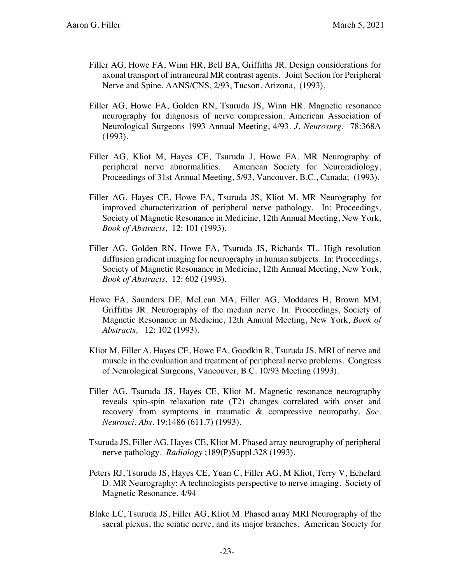- Filler AG, Howe FA, Winn HR, Bell BA, Griffiths JR. Design considerations for axonal transport of intraneural MR contrast agents. Joint Section for Peripheral Nerve and Spine, AANS/CNS, 2/93, Tucson, Arizona, (1993).
- Filler AG, Howe FA, Golden RN, Tsuruda JS, Winn HR. Magnetic resonance neurography for diagnosis of nerve compression. American Association of Neurological Surgeons 1993 Annual Meeting, 4/93. *J. Neurosurg.* 78:368A (1993).
- Filler AG, Kliot M, Hayes CE, Tsuruda J, Howe FA. MR Neurography of peripheral nerve abnormalities. American Society for Neuroradiology, Proceedings of 31st Annual Meeting, 5/93, Vancouver, B.C., Canada; (1993).
- Filler AG, Hayes CE, Howe FA, Tsuruda JS, Kliot M. MR Neurography for improved characterization of peripheral nerve pathology. In: Proceedings, Society of Magnetic Resonance in Medicine, 12th Annual Meeting, New York, *Book of Abstracts,* 12: 101 (1993).
- Filler AG, Golden RN, Howe FA, Tsuruda JS, Richards TL. High resolution diffusion gradient imaging for neurography in human subjects. In: Proceedings, Society of Magnetic Resonance in Medicine, 12th Annual Meeting, New York, *Book of Abstracts,* 12: 602 (1993).
- Howe FA, Saunders DE, McLean MA, Filler AG, Moddares H, Brown MM, Griffiths JR. Neurography of the median nerve. In: Proceedings, Society of Magnetic Resonance in Medicine, 12th Annual Meeting, New York, *Book of Abstracts,* 12: 102 (1993).
- Kliot M, Filler A, Hayes CE, Howe FA, Goodkin R, Tsuruda JS. MRI of nerve and muscle in the evaluation and treatment of peripheral nerve problems. Congress of Neurological Surgeons, Vancouver, B.C. 10/93 Meeting (1993).
- Filler AG, Tsuruda JS, Hayes CE, Kliot M. Magnetic resonance neurography reveals spin-spin relaxation rate (T2) changes correlated with onset and recovery from symptoms in traumatic & compressive neuropathy. *Soc. Neurosci. Abs.* 19:1486 (611.7) (1993).
- Tsuruda JS, Filler AG, Hayes CE, Kliot M. Phased array neurography of peripheral nerve pathology. *Radiology* ;189(P)Suppl.328 (1993).
- Peters RJ, Tsuruda JS, Hayes CE, Yuan C, Filler AG, M Kliot, Terry V, Echelard D. MR Neurography: A technologists perspective to nerve imaging. Society of Magnetic Resonance. 4/94
- Blake LC, Tsuruda JS, Filler AG, Kliot M. Phased array MRI Neurography of the sacral plexus, the sciatic nerve, and its major branches. American Society for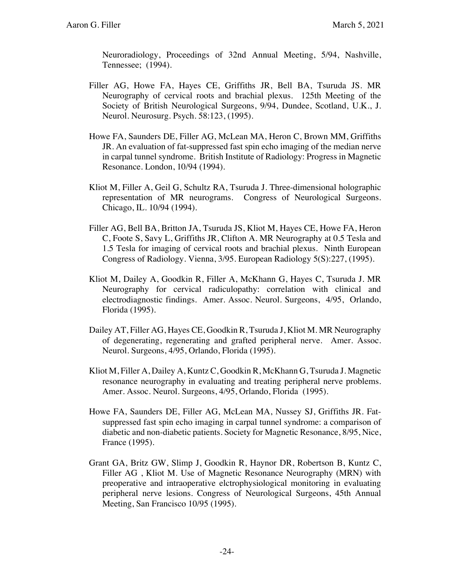Neuroradiology, Proceedings of 32nd Annual Meeting, 5/94, Nashville, Tennessee; (1994).

- Filler AG, Howe FA, Hayes CE, Griffiths JR, Bell BA, Tsuruda JS. MR Neurography of cervical roots and brachial plexus. 125th Meeting of the Society of British Neurological Surgeons, 9/94, Dundee, Scotland, U.K., J. Neurol. Neurosurg. Psych. 58:123, (1995).
- Howe FA, Saunders DE, Filler AG, McLean MA, Heron C, Brown MM, Griffiths JR. An evaluation of fat-suppressed fast spin echo imaging of the median nerve in carpal tunnel syndrome. British Institute of Radiology: Progress in Magnetic Resonance. London, 10/94 (1994).
- Kliot M, Filler A, Geil G, Schultz RA, Tsuruda J. Three-dimensional holographic representation of MR neurograms. Congress of Neurological Surgeons. Chicago, IL. 10/94 (1994).
- Filler AG, Bell BA, Britton JA, Tsuruda JS, Kliot M, Hayes CE, Howe FA, Heron C, Foote S, Savy L, Griffiths JR, Clifton A. MR Neurography at 0.5 Tesla and 1.5 Tesla for imaging of cervical roots and brachial plexus. Ninth European Congress of Radiology. Vienna, 3/95. European Radiology 5(S):227, (1995).
- Kliot M, Dailey A, Goodkin R, Filler A, McKhann G, Hayes C, Tsuruda J. MR Neurography for cervical radiculopathy: correlation with clinical and electrodiagnostic findings. Amer. Assoc. Neurol. Surgeons, 4/95, Orlando, Florida (1995).
- Dailey AT, Filler AG, Hayes CE, Goodkin R, Tsuruda J, Kliot M. MR Neurography of degenerating, regenerating and grafted peripheral nerve. Amer. Assoc. Neurol. Surgeons, 4/95, Orlando, Florida (1995).
- Kliot M, Filler A, Dailey A, Kuntz C, Goodkin R, McKhann G, Tsuruda J. Magnetic resonance neurography in evaluating and treating peripheral nerve problems. Amer. Assoc. Neurol. Surgeons, 4/95, Orlando, Florida (1995).
- Howe FA, Saunders DE, Filler AG, McLean MA, Nussey SJ, Griffiths JR. Fatsuppressed fast spin echo imaging in carpal tunnel syndrome: a comparison of diabetic and non-diabetic patients. Society for Magnetic Resonance, 8/95, Nice, France (1995).
- Grant GA, Britz GW, Slimp J, Goodkin R, Haynor DR, Robertson B, Kuntz C, Filler AG , Kliot M. Use of Magnetic Resonance Neurography (MRN) with preoperative and intraoperative elctrophysiological monitoring in evaluating peripheral nerve lesions. Congress of Neurological Surgeons, 45th Annual Meeting, San Francisco 10/95 (1995).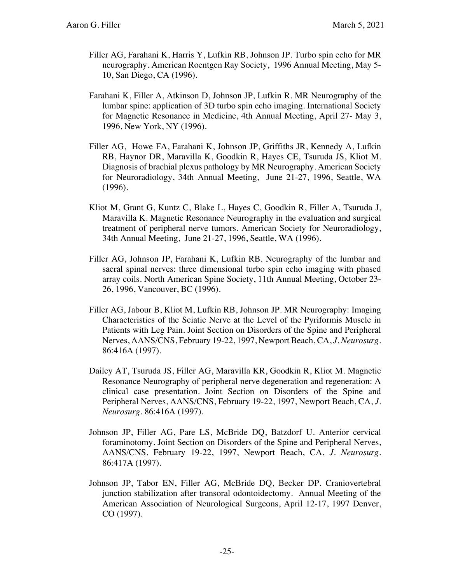- Filler AG, Farahani K, Harris Y, Lufkin RB, Johnson JP. Turbo spin echo for MR neurography. American Roentgen Ray Society, 1996 Annual Meeting, May 5- 10, San Diego, CA (1996).
- Farahani K, Filler A, Atkinson D, Johnson JP, Lufkin R. MR Neurography of the lumbar spine: application of 3D turbo spin echo imaging. International Society for Magnetic Resonance in Medicine, 4th Annual Meeting, April 27- May 3, 1996, New York, NY (1996).
- Filler AG, Howe FA, Farahani K, Johnson JP, Griffiths JR, Kennedy A, Lufkin RB, Haynor DR, Maravilla K, Goodkin R, Hayes CE, Tsuruda JS, Kliot M. Diagnosis of brachial plexus pathology by MR Neurography. American Society for Neuroradiology, 34th Annual Meeting, June 21-27, 1996, Seattle, WA (1996).
- Kliot M, Grant G, Kuntz C, Blake L, Hayes C, Goodkin R, Filler A, Tsuruda J, Maravilla K. Magnetic Resonance Neurography in the evaluation and surgical treatment of peripheral nerve tumors. American Society for Neuroradiology, 34th Annual Meeting, June 21-27, 1996, Seattle, WA (1996).
- Filler AG, Johnson JP, Farahani K, Lufkin RB. Neurography of the lumbar and sacral spinal nerves: three dimensional turbo spin echo imaging with phased array coils. North American Spine Society, 11th Annual Meeting, October 23- 26, 1996, Vancouver, BC (1996).
- Filler AG, Jabour B, Kliot M, Lufkin RB, Johnson JP. MR Neurography: Imaging Characteristics of the Sciatic Nerve at the Level of the Pyriformis Muscle in Patients with Leg Pain. Joint Section on Disorders of the Spine and Peripheral Nerves, AANS/CNS, February 19-22, 1997, Newport Beach, CA, *J. Neurosurg*. 86:416A (1997).
- Dailey AT, Tsuruda JS, Filler AG, Maravilla KR, Goodkin R, Kliot M. Magnetic Resonance Neurography of peripheral nerve degeneration and regeneration: A clinical case presentation. Joint Section on Disorders of the Spine and Peripheral Nerves, AANS/CNS, February 19-22, 1997, Newport Beach, CA, *J. Neurosurg*. 86:416A (1997).
- Johnson JP, Filler AG, Pare LS, McBride DQ, Batzdorf U. Anterior cervical foraminotomy. Joint Section on Disorders of the Spine and Peripheral Nerves, AANS/CNS, February 19-22, 1997, Newport Beach, CA, *J. Neurosurg*. 86:417A (1997).
- Johnson JP, Tabor EN, Filler AG, McBride DQ, Becker DP. Craniovertebral junction stabilization after transoral odontoidectomy. Annual Meeting of the American Association of Neurological Surgeons, April 12-17, 1997 Denver, CO (1997).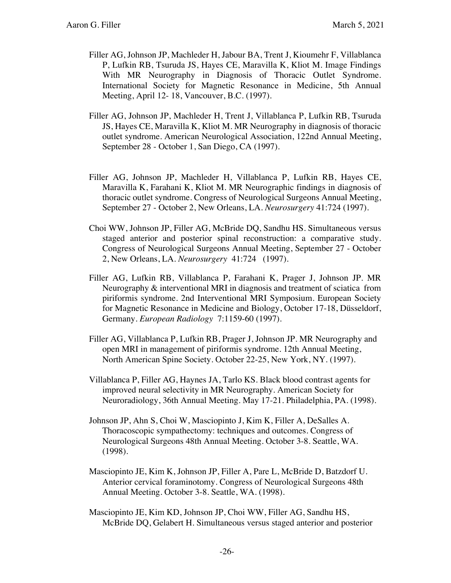- Filler AG, Johnson JP, Machleder H, Jabour BA, Trent J, Kioumehr F, Villablanca P, Lufkin RB, Tsuruda JS, Hayes CE, Maravilla K, Kliot M. Image Findings With MR Neurography in Diagnosis of Thoracic Outlet Syndrome. International Society for Magnetic Resonance in Medicine, 5th Annual Meeting, April 12- 18, Vancouver, B.C. (1997).
- Filler AG, Johnson JP, Machleder H, Trent J, Villablanca P, Lufkin RB, Tsuruda JS, Hayes CE, Maravilla K, Kliot M. MR Neurography in diagnosis of thoracic outlet syndrome. American Neurological Association, 122nd Annual Meeting, September 28 - October 1, San Diego, CA (1997).
- Filler AG, Johnson JP, Machleder H, Villablanca P, Lufkin RB, Hayes CE, Maravilla K, Farahani K, Kliot M. MR Neurographic findings in diagnosis of thoracic outlet syndrome. Congress of Neurological Surgeons Annual Meeting, September 27 - October 2, New Orleans, LA. *Neurosurgery* 41:724 (1997).
- Choi WW, Johnson JP, Filler AG, McBride DQ, Sandhu HS. Simultaneous versus staged anterior and posterior spinal reconstruction: a comparative study. Congress of Neurological Surgeons Annual Meeting, September 27 - October 2, New Orleans, LA. *Neurosurgery* 41:724 (1997).
- Filler AG, Lufkin RB, Villablanca P, Farahani K, Prager J, Johnson JP. MR Neurography & interventional MRI in diagnosis and treatment of sciatica from piriformis syndrome. 2nd Interventional MRI Symposium. European Society for Magnetic Resonance in Medicine and Biology, October 17-18, Düsseldorf, Germany. *European Radiology* 7:1159-60 (1997).
- Filler AG, Villablanca P, Lufkin RB, Prager J, Johnson JP. MR Neurography and open MRI in management of piriformis syndrome. 12th Annual Meeting, North American Spine Society. October 22-25, New York, NY. (1997).
- Villablanca P, Filler AG, Haynes JA, Tarlo KS. Black blood contrast agents for improved neural selectivity in MR Neurography. American Society for Neuroradiology, 36th Annual Meeting. May 17-21. Philadelphia, PA. (1998).
- Johnson JP, Ahn S, Choi W, Masciopinto J, Kim K, Filler A, DeSalles A. Thoracoscopic sympathectomy: techniques and outcomes. Congress of Neurological Surgeons 48th Annual Meeting. October 3-8. Seattle, WA. (1998).
- Masciopinto JE, Kim K, Johnson JP, Filler A, Pare L, McBride D, Batzdorf U. Anterior cervical foraminotomy. Congress of Neurological Surgeons 48th Annual Meeting. October 3-8. Seattle, WA. (1998).
- Masciopinto JE, Kim KD, Johnson JP, Choi WW, Filler AG, Sandhu HS, McBride DQ, Gelabert H. Simultaneous versus staged anterior and posterior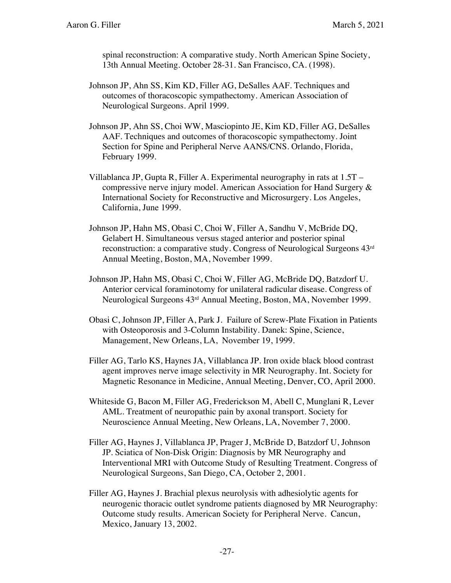spinal reconstruction: A comparative study. North American Spine Society, 13th Annual Meeting. October 28-31. San Francisco, CA. (1998).

- Johnson JP, Ahn SS, Kim KD, Filler AG, DeSalles AAF. Techniques and outcomes of thoracoscopic sympathectomy. American Association of Neurological Surgeons. April 1999.
- Johnson JP, Ahn SS, Choi WW, Masciopinto JE, Kim KD, Filler AG, DeSalles AAF. Techniques and outcomes of thoracoscopic sympathectomy. Joint Section for Spine and Peripheral Nerve AANS/CNS. Orlando, Florida, February 1999.
- Villablanca JP, Gupta R, Filler A. Experimental neurography in rats at 1.5T compressive nerve injury model. American Association for Hand Surgery & International Society for Reconstructive and Microsurgery. Los Angeles, California, June 1999.
- Johnson JP, Hahn MS, Obasi C, Choi W, Filler A, Sandhu V, McBride DQ, Gelabert H. Simultaneous versus staged anterior and posterior spinal reconstruction: a comparative study. Congress of Neurological Surgeons 43rd Annual Meeting, Boston, MA, November 1999.
- Johnson JP, Hahn MS, Obasi C, Choi W, Filler AG, McBride DQ, Batzdorf U. Anterior cervical foraminotomy for unilateral radicular disease. Congress of Neurological Surgeons 43rd Annual Meeting, Boston, MA, November 1999.
- Obasi C, Johnson JP, Filler A, Park J. Failure of Screw-Plate Fixation in Patients with Osteoporosis and 3-Column Instability. Danek: Spine, Science, Management, New Orleans, LA, November 19, 1999.
- Filler AG, Tarlo KS, Haynes JA, Villablanca JP. Iron oxide black blood contrast agent improves nerve image selectivity in MR Neurography. Int. Society for Magnetic Resonance in Medicine, Annual Meeting, Denver, CO, April 2000.
- Whiteside G, Bacon M, Filler AG, Frederickson M, Abell C, Munglani R, Lever AML. Treatment of neuropathic pain by axonal transport. Society for Neuroscience Annual Meeting, New Orleans, LA, November 7, 2000.
- Filler AG, Haynes J, Villablanca JP, Prager J, McBride D, Batzdorf U, Johnson JP. Sciatica of Non-Disk Origin: Diagnosis by MR Neurography and Interventional MRI with Outcome Study of Resulting Treatment. Congress of Neurological Surgeons, San Diego, CA, October 2, 2001.
- Filler AG, Haynes J. Brachial plexus neurolysis with adhesiolytic agents for neurogenic thoracic outlet syndrome patients diagnosed by MR Neurography: Outcome study results. American Society for Peripheral Nerve. Cancun, Mexico, January 13, 2002.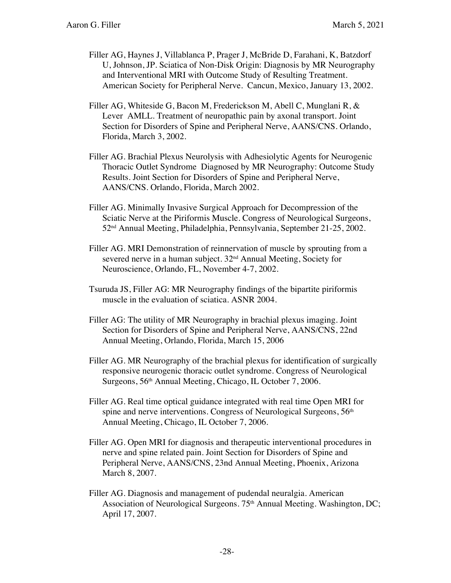- Filler AG, Haynes J, Villablanca P, Prager J, McBride D, Farahani, K, Batzdorf U, Johnson, JP. Sciatica of Non-Disk Origin: Diagnosis by MR Neurography and Interventional MRI with Outcome Study of Resulting Treatment. American Society for Peripheral Nerve. Cancun, Mexico, January 13, 2002.
- Filler AG, Whiteside G, Bacon M, Frederickson M, Abell C, Munglani R, & Lever AMLL. Treatment of neuropathic pain by axonal transport. Joint Section for Disorders of Spine and Peripheral Nerve, AANS/CNS. Orlando, Florida, March 3, 2002.
- Filler AG. Brachial Plexus Neurolysis with Adhesiolytic Agents for Neurogenic Thoracic Outlet Syndrome Diagnosed by MR Neurography: Outcome Study Results. Joint Section for Disorders of Spine and Peripheral Nerve, AANS/CNS. Orlando, Florida, March 2002.
- Filler AG. Minimally Invasive Surgical Approach for Decompression of the Sciatic Nerve at the Piriformis Muscle. Congress of Neurological Surgeons, 52nd Annual Meeting, Philadelphia, Pennsylvania, September 21-25, 2002.
- Filler AG. MRI Demonstration of reinnervation of muscle by sprouting from a severed nerve in a human subject. 32<sup>nd</sup> Annual Meeting, Society for Neuroscience, Orlando, FL, November 4-7, 2002.
- Tsuruda JS, Filler AG: MR Neurography findings of the bipartite piriformis muscle in the evaluation of sciatica. ASNR 2004.
- Filler AG: The utility of MR Neurography in brachial plexus imaging. Joint Section for Disorders of Spine and Peripheral Nerve, AANS/CNS, 22nd Annual Meeting, Orlando, Florida, March 15, 2006
- Filler AG. MR Neurography of the brachial plexus for identification of surgically responsive neurogenic thoracic outlet syndrome. Congress of Neurological Surgeons, 56th Annual Meeting, Chicago, IL October 7, 2006.
- Filler AG. Real time optical guidance integrated with real time Open MRI for spine and nerve interventions. Congress of Neurological Surgeons, 56<sup>th</sup> Annual Meeting, Chicago, IL October 7, 2006.
- Filler AG. Open MRI for diagnosis and therapeutic interventional procedures in nerve and spine related pain. Joint Section for Disorders of Spine and Peripheral Nerve, AANS/CNS, 23nd Annual Meeting, Phoenix, Arizona March 8, 2007.
- Filler AG. Diagnosis and management of pudendal neuralgia. American Association of Neurological Surgeons. 75<sup>th</sup> Annual Meeting. Washington, DC; April 17, 2007.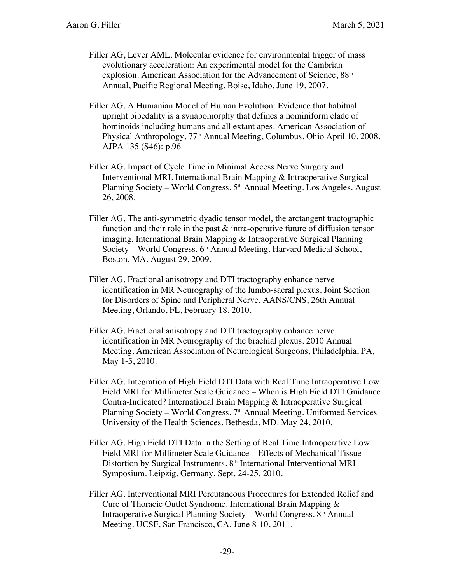- Filler AG, Lever AML. Molecular evidence for environmental trigger of mass evolutionary acceleration: An experimental model for the Cambrian explosion. American Association for the Advancement of Science, 88<sup>th</sup> Annual, Pacific Regional Meeting, Boise, Idaho. June 19, 2007.
- Filler AG. A Humanian Model of Human Evolution: Evidence that habitual upright bipedality is a synapomorphy that defines a hominiform clade of hominoids including humans and all extant apes. American Association of Physical Anthropology, 77th Annual Meeting, Columbus, Ohio April 10, 2008. AJPA 135 (S46): p.96
- Filler AG. Impact of Cycle Time in Minimal Access Nerve Surgery and Interventional MRI. International Brain Mapping & Intraoperative Surgical Planning Society – World Congress. 5<sup>th</sup> Annual Meeting. Los Angeles. August 26, 2008.
- Filler AG. The anti-symmetric dyadic tensor model, the arctangent tractographic function and their role in the past  $\&$  intra-operative future of diffusion tensor imaging. International Brain Mapping & Intraoperative Surgical Planning Society – World Congress. 6<sup>th</sup> Annual Meeting. Harvard Medical School, Boston, MA. August 29, 2009.
- Filler AG. Fractional anisotropy and DTI tractography enhance nerve identification in MR Neurography of the lumbo-sacral plexus. Joint Section for Disorders of Spine and Peripheral Nerve, AANS/CNS, 26th Annual Meeting, Orlando, FL, February 18, 2010.
- Filler AG. Fractional anisotropy and DTI tractography enhance nerve identification in MR Neurography of the brachial plexus. 2010 Annual Meeting, American Association of Neurological Surgeons, Philadelphia, PA, May 1-5, 2010.
- Filler AG. Integration of High Field DTI Data with Real Time Intraoperative Low Field MRI for Millimeter Scale Guidance – When is High Field DTI Guidance Contra-Indicated? International Brain Mapping & Intraoperative Surgical Planning Society – World Congress. 7<sup>th</sup> Annual Meeting. Uniformed Services University of the Health Sciences, Bethesda, MD. May 24, 2010.
- Filler AG. High Field DTI Data in the Setting of Real Time Intraoperative Low Field MRI for Millimeter Scale Guidance – Effects of Mechanical Tissue Distortion by Surgical Instruments. 8<sup>th</sup> International Interventional MRI Symposium. Leipzig, Germany, Sept. 24-25, 2010.
- Filler AG. Interventional MRI Percutaneous Procedures for Extended Relief and Cure of Thoracic Outlet Syndrome. International Brain Mapping & Intraoperative Surgical Planning Society – World Congress. 8th Annual Meeting. UCSF, San Francisco, CA. June 8-10, 2011.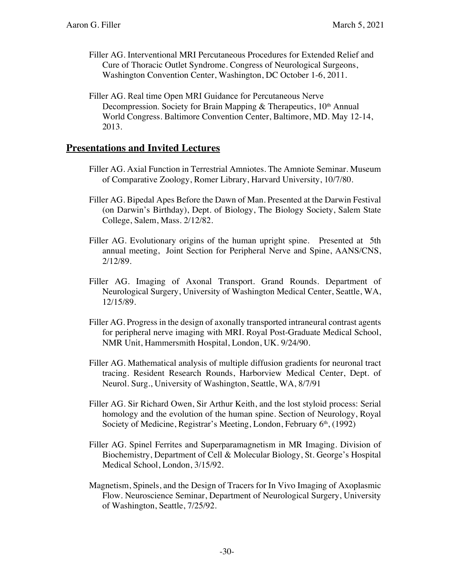- Filler AG. Interventional MRI Percutaneous Procedures for Extended Relief and Cure of Thoracic Outlet Syndrome. Congress of Neurological Surgeons, Washington Convention Center, Washington, DC October 1-6, 2011.
- Filler AG. Real time Open MRI Guidance for Percutaneous Nerve Decompression. Society for Brain Mapping & Therapeutics,  $10<sup>th</sup>$  Annual World Congress. Baltimore Convention Center, Baltimore, MD. May 12-14, 2013.

#### **Presentations and Invited Lectures**

- Filler AG. Axial Function in Terrestrial Amniotes. The Amniote Seminar. Museum of Comparative Zoology, Romer Library, Harvard University, 10/7/80.
- Filler AG. Bipedal Apes Before the Dawn of Man. Presented at the Darwin Festival (on Darwin's Birthday), Dept. of Biology, The Biology Society, Salem State College, Salem, Mass. 2/12/82.
- Filler AG. Evolutionary origins of the human upright spine. Presented at 5th annual meeting, Joint Section for Peripheral Nerve and Spine, AANS/CNS, 2/12/89.
- Filler AG. Imaging of Axonal Transport. Grand Rounds. Department of Neurological Surgery, University of Washington Medical Center, Seattle, WA, 12/15/89.
- Filler AG. Progress in the design of axonally transported intraneural contrast agents for peripheral nerve imaging with MRI. Royal Post-Graduate Medical School, NMR Unit, Hammersmith Hospital, London, UK. 9/24/90.
- Filler AG. Mathematical analysis of multiple diffusion gradients for neuronal tract tracing. Resident Research Rounds, Harborview Medical Center, Dept. of Neurol. Surg., University of Washington, Seattle, WA, 8/7/91
- Filler AG. Sir Richard Owen, Sir Arthur Keith, and the lost styloid process: Serial homology and the evolution of the human spine. Section of Neurology, Royal Society of Medicine, Registrar's Meeting, London, February 6<sup>th</sup>, (1992)
- Filler AG. Spinel Ferrites and Superparamagnetism in MR Imaging. Division of Biochemistry, Department of Cell & Molecular Biology, St. George's Hospital Medical School, London, 3/15/92.
- Magnetism, Spinels, and the Design of Tracers for In Vivo Imaging of Axoplasmic Flow. Neuroscience Seminar, Department of Neurological Surgery, University of Washington, Seattle, 7/25/92.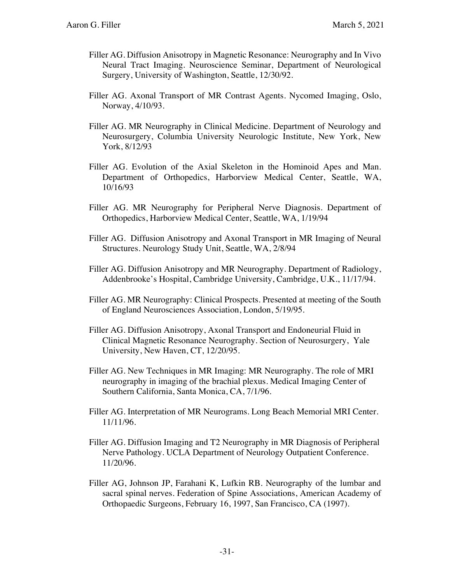- Filler AG. Diffusion Anisotropy in Magnetic Resonance: Neurography and In Vivo Neural Tract Imaging. Neuroscience Seminar, Department of Neurological Surgery, University of Washington, Seattle, 12/30/92.
- Filler AG. Axonal Transport of MR Contrast Agents. Nycomed Imaging, Oslo, Norway, 4/10/93.
- Filler AG. MR Neurography in Clinical Medicine. Department of Neurology and Neurosurgery, Columbia University Neurologic Institute, New York, New York, 8/12/93
- Filler AG. Evolution of the Axial Skeleton in the Hominoid Apes and Man. Department of Orthopedics, Harborview Medical Center, Seattle, WA, 10/16/93
- Filler AG. MR Neurography for Peripheral Nerve Diagnosis. Department of Orthopedics, Harborview Medical Center, Seattle, WA, 1/19/94
- Filler AG. Diffusion Anisotropy and Axonal Transport in MR Imaging of Neural Structures. Neurology Study Unit, Seattle, WA, 2/8/94
- Filler AG. Diffusion Anisotropy and MR Neurography. Department of Radiology, Addenbrooke's Hospital, Cambridge University, Cambridge, U.K., 11/17/94.
- Filler AG. MR Neurography: Clinical Prospects. Presented at meeting of the South of England Neurosciences Association, London, 5/19/95.
- Filler AG. Diffusion Anisotropy, Axonal Transport and Endoneurial Fluid in Clinical Magnetic Resonance Neurography. Section of Neurosurgery, Yale University, New Haven, CT, 12/20/95.
- Filler AG. New Techniques in MR Imaging: MR Neurography. The role of MRI neurography in imaging of the brachial plexus. Medical Imaging Center of Southern California, Santa Monica, CA, 7/1/96.
- Filler AG. Interpretation of MR Neurograms. Long Beach Memorial MRI Center. 11/11/96.
- Filler AG. Diffusion Imaging and T2 Neurography in MR Diagnosis of Peripheral Nerve Pathology. UCLA Department of Neurology Outpatient Conference. 11/20/96.
- Filler AG, Johnson JP, Farahani K, Lufkin RB. Neurography of the lumbar and sacral spinal nerves. Federation of Spine Associations, American Academy of Orthopaedic Surgeons, February 16, 1997, San Francisco, CA (1997).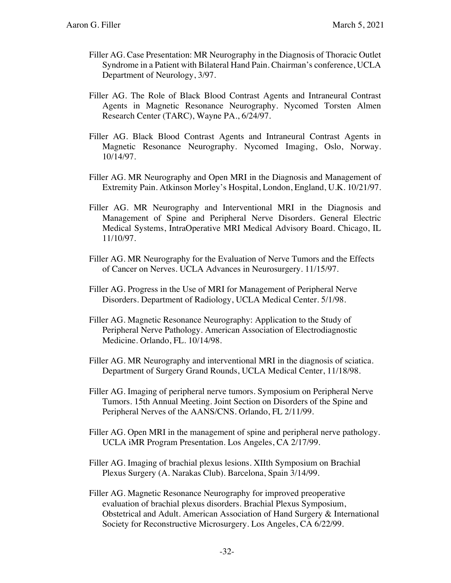- Filler AG. Case Presentation: MR Neurography in the Diagnosis of Thoracic Outlet Syndrome in a Patient with Bilateral Hand Pain. Chairman's conference, UCLA Department of Neurology, 3/97.
- Filler AG. The Role of Black Blood Contrast Agents and Intraneural Contrast Agents in Magnetic Resonance Neurography. Nycomed Torsten Almen Research Center (TARC), Wayne PA., 6/24/97.
- Filler AG. Black Blood Contrast Agents and Intraneural Contrast Agents in Magnetic Resonance Neurography. Nycomed Imaging, Oslo, Norway. 10/14/97.
- Filler AG. MR Neurography and Open MRI in the Diagnosis and Management of Extremity Pain. Atkinson Morley's Hospital, London, England, U.K. 10/21/97.
- Filler AG. MR Neurography and Interventional MRI in the Diagnosis and Management of Spine and Peripheral Nerve Disorders. General Electric Medical Systems, IntraOperative MRI Medical Advisory Board. Chicago, IL 11/10/97.
- Filler AG. MR Neurography for the Evaluation of Nerve Tumors and the Effects of Cancer on Nerves. UCLA Advances in Neurosurgery. 11/15/97.
- Filler AG. Progress in the Use of MRI for Management of Peripheral Nerve Disorders. Department of Radiology, UCLA Medical Center. 5/1/98.
- Filler AG. Magnetic Resonance Neurography: Application to the Study of Peripheral Nerve Pathology. American Association of Electrodiagnostic Medicine. Orlando, FL. 10/14/98.
- Filler AG. MR Neurography and interventional MRI in the diagnosis of sciatica. Department of Surgery Grand Rounds, UCLA Medical Center, 11/18/98.
- Filler AG. Imaging of peripheral nerve tumors. Symposium on Peripheral Nerve Tumors. 15th Annual Meeting. Joint Section on Disorders of the Spine and Peripheral Nerves of the AANS/CNS. Orlando, FL 2/11/99.
- Filler AG. Open MRI in the management of spine and peripheral nerve pathology. UCLA iMR Program Presentation. Los Angeles, CA 2/17/99.
- Filler AG. Imaging of brachial plexus lesions. XIIth Symposium on Brachial Plexus Surgery (A. Narakas Club). Barcelona, Spain 3/14/99.
- Filler AG. Magnetic Resonance Neurography for improved preoperative evaluation of brachial plexus disorders. Brachial Plexus Symposium, Obstetrical and Adult. American Association of Hand Surgery & International Society for Reconstructive Microsurgery. Los Angeles, CA 6/22/99.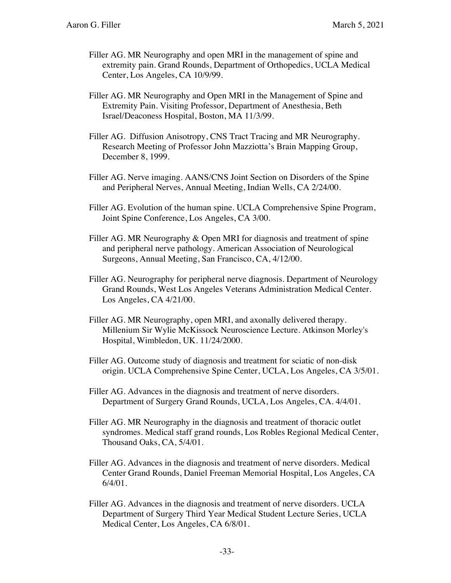- Filler AG. MR Neurography and open MRI in the management of spine and extremity pain. Grand Rounds, Department of Orthopedics, UCLA Medical Center, Los Angeles, CA 10/9/99.
- Filler AG. MR Neurography and Open MRI in the Management of Spine and Extremity Pain. Visiting Professor, Department of Anesthesia, Beth Israel/Deaconess Hospital, Boston, MA 11/3/99.
- Filler AG. Diffusion Anisotropy, CNS Tract Tracing and MR Neurography. Research Meeting of Professor John Mazziotta's Brain Mapping Group, December 8, 1999.
- Filler AG. Nerve imaging. AANS/CNS Joint Section on Disorders of the Spine and Peripheral Nerves, Annual Meeting, Indian Wells, CA 2/24/00.
- Filler AG. Evolution of the human spine. UCLA Comprehensive Spine Program, Joint Spine Conference, Los Angeles, CA 3/00.
- Filler AG. MR Neurography & Open MRI for diagnosis and treatment of spine and peripheral nerve pathology. American Association of Neurological Surgeons, Annual Meeting, San Francisco, CA, 4/12/00.
- Filler AG. Neurography for peripheral nerve diagnosis. Department of Neurology Grand Rounds, West Los Angeles Veterans Administration Medical Center. Los Angeles, CA 4/21/00.
- Filler AG. MR Neurography, open MRI, and axonally delivered therapy. Millenium Sir Wylie McKissock Neuroscience Lecture. Atkinson Morley's Hospital, Wimbledon, UK. 11/24/2000.
- Filler AG. Outcome study of diagnosis and treatment for sciatic of non-disk origin. UCLA Comprehensive Spine Center, UCLA, Los Angeles, CA 3/5/01.
- Filler AG. Advances in the diagnosis and treatment of nerve disorders. Department of Surgery Grand Rounds, UCLA, Los Angeles, CA. 4/4/01.
- Filler AG. MR Neurography in the diagnosis and treatment of thoracic outlet syndromes. Medical staff grand rounds, Los Robles Regional Medical Center, Thousand Oaks, CA, 5/4/01.
- Filler AG. Advances in the diagnosis and treatment of nerve disorders. Medical Center Grand Rounds, Daniel Freeman Memorial Hospital, Los Angeles, CA  $6/4/01$ .
- Filler AG. Advances in the diagnosis and treatment of nerve disorders. UCLA Department of Surgery Third Year Medical Student Lecture Series, UCLA Medical Center, Los Angeles, CA 6/8/01.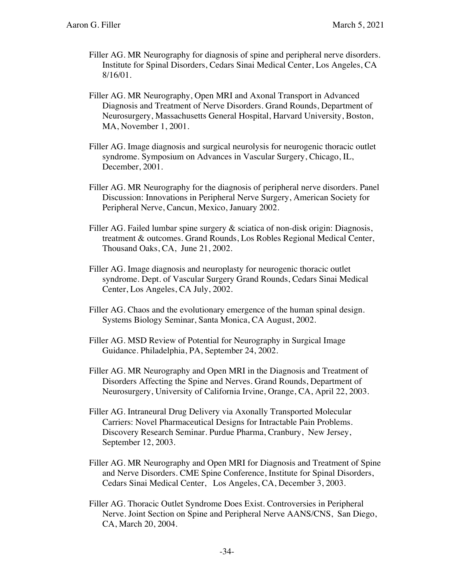- Filler AG. MR Neurography for diagnosis of spine and peripheral nerve disorders. Institute for Spinal Disorders, Cedars Sinai Medical Center, Los Angeles, CA 8/16/01.
- Filler AG. MR Neurography, Open MRI and Axonal Transport in Advanced Diagnosis and Treatment of Nerve Disorders. Grand Rounds, Department of Neurosurgery, Massachusetts General Hospital, Harvard University, Boston, MA, November 1, 2001.
- Filler AG. Image diagnosis and surgical neurolysis for neurogenic thoracic outlet syndrome. Symposium on Advances in Vascular Surgery, Chicago, IL, December, 2001.
- Filler AG. MR Neurography for the diagnosis of peripheral nerve disorders. Panel Discussion: Innovations in Peripheral Nerve Surgery, American Society for Peripheral Nerve, Cancun, Mexico, January 2002.
- Filler AG. Failed lumbar spine surgery & sciatica of non-disk origin: Diagnosis, treatment & outcomes. Grand Rounds, Los Robles Regional Medical Center, Thousand Oaks, CA, June 21, 2002.
- Filler AG. Image diagnosis and neuroplasty for neurogenic thoracic outlet syndrome. Dept. of Vascular Surgery Grand Rounds, Cedars Sinai Medical Center, Los Angeles, CA July, 2002.
- Filler AG. Chaos and the evolutionary emergence of the human spinal design. Systems Biology Seminar, Santa Monica, CA August, 2002.
- Filler AG. MSD Review of Potential for Neurography in Surgical Image Guidance. Philadelphia, PA, September 24, 2002.
- Filler AG. MR Neurography and Open MRI in the Diagnosis and Treatment of Disorders Affecting the Spine and Nerves. Grand Rounds, Department of Neurosurgery, University of California Irvine, Orange, CA, April 22, 2003.
- Filler AG. Intraneural Drug Delivery via Axonally Transported Molecular Carriers: Novel Pharmaceutical Designs for Intractable Pain Problems. Discovery Research Seminar. Purdue Pharma, Cranbury, New Jersey, September 12, 2003.
- Filler AG. MR Neurography and Open MRI for Diagnosis and Treatment of Spine and Nerve Disorders. CME Spine Conference, Institute for Spinal Disorders, Cedars Sinai Medical Center, Los Angeles, CA, December 3, 2003.
- Filler AG. Thoracic Outlet Syndrome Does Exist. Controversies in Peripheral Nerve. Joint Section on Spine and Peripheral Nerve AANS/CNS, San Diego, CA, March 20, 2004.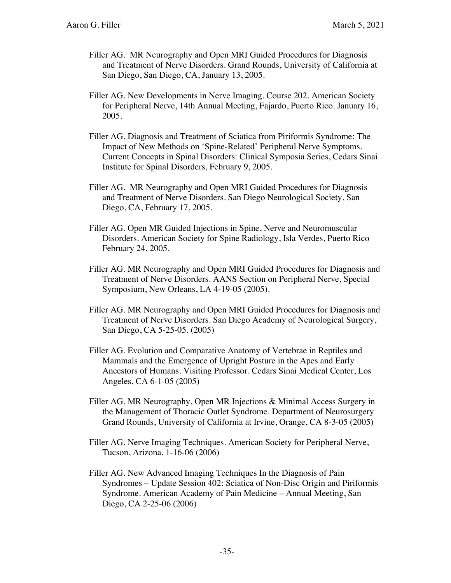- Filler AG. MR Neurography and Open MRI Guided Procedures for Diagnosis and Treatment of Nerve Disorders. Grand Rounds, University of California at San Diego, San Diego, CA, January 13, 2005.
- Filler AG. New Developments in Nerve Imaging. Course 202. American Society for Peripheral Nerve, 14th Annual Meeting, Fajardo, Puerto Rico. January 16, 2005.
- Filler AG. Diagnosis and Treatment of Sciatica from Piriformis Syndrome: The Impact of New Methods on 'Spine-Related' Peripheral Nerve Symptoms. Current Concepts in Spinal Disorders: Clinical Symposia Series, Cedars Sinai Institute for Spinal Disorders, February 9, 2005.
- Filler AG. MR Neurography and Open MRI Guided Procedures for Diagnosis and Treatment of Nerve Disorders. San Diego Neurological Society, San Diego, CA, February 17, 2005.
- Filler AG. Open MR Guided Injections in Spine, Nerve and Neuromuscular Disorders. American Society for Spine Radiology, Isla Verdes, Puerto Rico February 24, 2005.
- Filler AG. MR Neurography and Open MRI Guided Procedures for Diagnosis and Treatment of Nerve Disorders. AANS Section on Peripheral Nerve, Special Symposium, New Orleans, LA 4-19-05 (2005).
- Filler AG. MR Neurography and Open MRI Guided Procedures for Diagnosis and Treatment of Nerve Disorders. San Diego Academy of Neurological Surgery, San Diego, CA 5-25-05. (2005)
- Filler AG. Evolution and Comparative Anatomy of Vertebrae in Reptiles and Mammals and the Emergence of Upright Posture in the Apes and Early Ancestors of Humans. Visiting Professor. Cedars Sinai Medical Center, Los Angeles, CA 6-1-05 (2005)
- Filler AG. MR Neurography, Open MR Injections & Minimal Access Surgery in the Management of Thoracic Outlet Syndrome. Department of Neurosurgery Grand Rounds, University of California at Irvine, Orange, CA 8-3-05 (2005)
- Filler AG. Nerve Imaging Techniques. American Society for Peripheral Nerve, Tucson, Arizona, 1-16-06 (2006)
- Filler AG. New Advanced Imaging Techniques In the Diagnosis of Pain Syndromes – Update Session 402: Sciatica of Non-Disc Origin and Piriformis Syndrome. American Academy of Pain Medicine – Annual Meeting, San Diego, CA 2-25-06 (2006)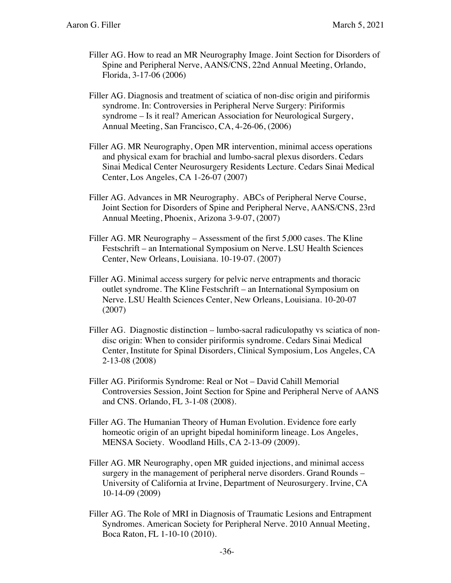- Filler AG. How to read an MR Neurography Image. Joint Section for Disorders of Spine and Peripheral Nerve, AANS/CNS, 22nd Annual Meeting, Orlando, Florida, 3-17-06 (2006)
- Filler AG. Diagnosis and treatment of sciatica of non-disc origin and piriformis syndrome. In: Controversies in Peripheral Nerve Surgery: Piriformis syndrome – Is it real? American Association for Neurological Surgery, Annual Meeting, San Francisco, CA, 4-26-06, (2006)
- Filler AG. MR Neurography, Open MR intervention, minimal access operations and physical exam for brachial and lumbo-sacral plexus disorders. Cedars Sinai Medical Center Neurosurgery Residents Lecture. Cedars Sinai Medical Center, Los Angeles, CA 1-26-07 (2007)
- Filler AG. Advances in MR Neurography. ABCs of Peripheral Nerve Course, Joint Section for Disorders of Spine and Peripheral Nerve, AANS/CNS, 23rd Annual Meeting, Phoenix, Arizona 3-9-07, (2007)
- Filler AG. MR Neurography Assessment of the first 5,000 cases. The Kline Festschrift – an International Symposium on Nerve. LSU Health Sciences Center, New Orleans, Louisiana. 10-19-07. (2007)
- Filler AG. Minimal access surgery for pelvic nerve entrapments and thoracic outlet syndrome. The Kline Festschrift – an International Symposium on Nerve. LSU Health Sciences Center, New Orleans, Louisiana. 10-20-07 (2007)
- Filler AG. Diagnostic distinction lumbo-sacral radiculopathy vs sciatica of nondisc origin: When to consider piriformis syndrome. Cedars Sinai Medical Center, Institute for Spinal Disorders, Clinical Symposium, Los Angeles, CA 2-13-08 (2008)
- Filler AG. Piriformis Syndrome: Real or Not David Cahill Memorial Controversies Session, Joint Section for Spine and Peripheral Nerve of AANS and CNS. Orlando, FL 3-1-08 (2008).
- Filler AG. The Humanian Theory of Human Evolution. Evidence fore early homeotic origin of an upright bipedal hominiform lineage. Los Angeles, MENSA Society. Woodland Hills, CA 2-13-09 (2009).
- Filler AG. MR Neurography, open MR guided injections, and minimal access surgery in the management of peripheral nerve disorders. Grand Rounds – University of California at Irvine, Department of Neurosurgery. Irvine, CA 10-14-09 (2009)
- Filler AG. The Role of MRI in Diagnosis of Traumatic Lesions and Entrapment Syndromes. American Society for Peripheral Nerve. 2010 Annual Meeting, Boca Raton, FL 1-10-10 (2010).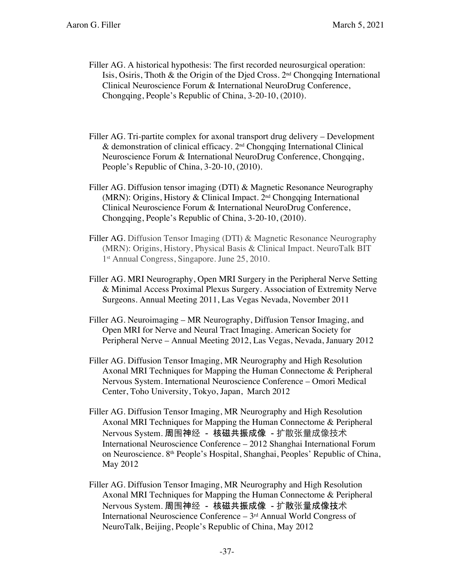- Filler AG. A historical hypothesis: The first recorded neurosurgical operation: Isis, Osiris, Thoth & the Origin of the Died Cross.  $2<sup>nd</sup>$  Chongqing International Clinical Neuroscience Forum & International NeuroDrug Conference, Chongqing, People's Republic of China, 3-20-10, (2010).
- Filler AG. Tri-partite complex for axonal transport drug delivery Development  $\&$  demonstration of clinical efficacy.  $2<sup>nd</sup>$  Chongqing International Clinical Neuroscience Forum & International NeuroDrug Conference, Chongqing, People's Republic of China, 3-20-10, (2010).
- Filler AG. Diffusion tensor imaging (DTI) & Magnetic Resonance Neurography (MRN): Origins, History & Clinical Impact. 2nd Chongqing International Clinical Neuroscience Forum & International NeuroDrug Conference, Chongqing, People's Republic of China, 3-20-10, (2010).
- Filler AG. Diffusion Tensor Imaging (DTI) & Magnetic Resonance Neurography (MRN): Origins, History, Physical Basis & Clinical Impact. NeuroTalk BIT 1<sup>st</sup> Annual Congress, Singapore. June 25, 2010.
- Filler AG. MRI Neurography, Open MRI Surgery in the Peripheral Nerve Setting & Minimal Access Proximal Plexus Surgery. Association of Extremity Nerve Surgeons. Annual Meeting 2011, Las Vegas Nevada, November 2011
- Filler AG. Neuroimaging MR Neurography, Diffusion Tensor Imaging, and Open MRI for Nerve and Neural Tract Imaging. American Society for Peripheral Nerve – Annual Meeting 2012, Las Vegas, Nevada, January 2012
- Filler AG. Diffusion Tensor Imaging, MR Neurography and High Resolution Axonal MRI Techniques for Mapping the Human Connectome & Peripheral Nervous System. International Neuroscience Conference – Omori Medical Center, Toho University, Tokyo, Japan, March 2012
- Filler AG. Diffusion Tensor Imaging, MR Neurography and High Resolution Axonal MRI Techniques for Mapping the Human Connectome & Peripheral Nervous System. 周围神经 - 核磁共振成像 - 扩散张量成像技术 International Neuroscience Conference – 2012 Shanghai International Forum on Neuroscience. 8th People's Hospital, Shanghai, Peoples' Republic of China, May 2012
- Filler AG. Diffusion Tensor Imaging, MR Neurography and High Resolution Axonal MRI Techniques for Mapping the Human Connectome & Peripheral Nervous System. 周围神经 - 核磁共振成像 - 扩散张量成像技术 International Neuroscience Conference  $-3<sup>rd</sup>$  Annual World Congress of NeuroTalk, Beijing, People's Republic of China, May 2012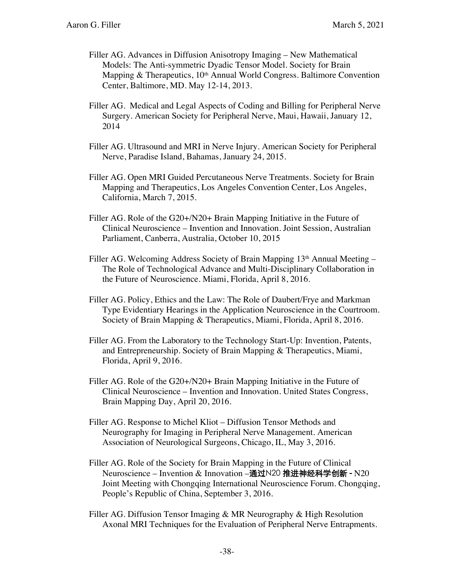- Filler AG. Advances in Diffusion Anisotropy Imaging New Mathematical Models: The Anti-symmetric Dyadic Tensor Model. Society for Brain Mapping  $\&$  Therapeutics,  $10<sup>th</sup>$  Annual World Congress. Baltimore Convention Center, Baltimore, MD. May 12-14, 2013.
- Filler AG. Medical and Legal Aspects of Coding and Billing for Peripheral Nerve Surgery. American Society for Peripheral Nerve, Maui, Hawaii, January 12, 2014
- Filler AG. Ultrasound and MRI in Nerve Injury. American Society for Peripheral Nerve, Paradise Island, Bahamas, January 24, 2015.
- Filler AG. Open MRI Guided Percutaneous Nerve Treatments. Society for Brain Mapping and Therapeutics, Los Angeles Convention Center, Los Angeles, California, March 7, 2015.
- Filler AG. Role of the G20+/N20+ Brain Mapping Initiative in the Future of Clinical Neuroscience – Invention and Innovation. Joint Session, Australian Parliament, Canberra, Australia, October 10, 2015
- Filler AG. Welcoming Address Society of Brain Mapping  $13<sup>th</sup>$  Annual Meeting The Role of Technological Advance and Multi-Disciplinary Collaboration in the Future of Neuroscience. Miami, Florida, April 8, 2016.
- Filler AG. Policy, Ethics and the Law: The Role of Daubert/Frye and Markman Type Evidentiary Hearings in the Application Neuroscience in the Courtroom. Society of Brain Mapping & Therapeutics, Miami, Florida, April 8, 2016.
- Filler AG. From the Laboratory to the Technology Start-Up: Invention, Patents, and Entrepreneurship. Society of Brain Mapping & Therapeutics, Miami, Florida, April 9, 2016.
- Filler AG. Role of the G20+/N20+ Brain Mapping Initiative in the Future of Clinical Neuroscience – Invention and Innovation. United States Congress, Brain Mapping Day, April 20, 2016.
- Filler AG. Response to Michel Kliot Diffusion Tensor Methods and Neurography for Imaging in Peripheral Nerve Management. American Association of Neurological Surgeons, Chicago, IL, May 3, 2016.
- Filler AG. Role of the Society for Brain Mapping in the Future of Clinical Neuroscience – Invention & Innovation –通过N20 推进神经科学创新 - N20 Joint Meeting with Chongqing International Neuroscience Forum. Chongqing, People's Republic of China, September 3, 2016.
- Filler AG. Diffusion Tensor Imaging & MR Neurography & High Resolution Axonal MRI Techniques for the Evaluation of Peripheral Nerve Entrapments.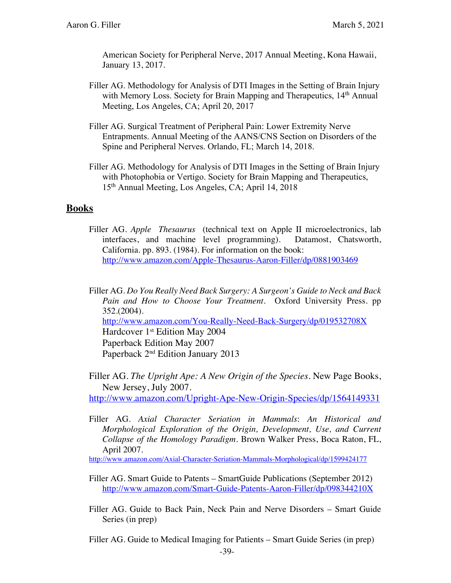American Society for Peripheral Nerve, 2017 Annual Meeting, Kona Hawaii, January 13, 2017.

- Filler AG. Methodology for Analysis of DTI Images in the Setting of Brain Injury with Memory Loss. Society for Brain Mapping and Therapeutics, 14<sup>th</sup> Annual Meeting, Los Angeles, CA; April 20, 2017
- Filler AG. Surgical Treatment of Peripheral Pain: Lower Extremity Nerve Entrapments. Annual Meeting of the AANS/CNS Section on Disorders of the Spine and Peripheral Nerves. Orlando, FL; March 14, 2018.
- Filler AG. Methodology for Analysis of DTI Images in the Setting of Brain Injury with Photophobia or Vertigo. Society for Brain Mapping and Therapeutics, 15th Annual Meeting, Los Angeles, CA; April 14, 2018

#### **Books**

Filler AG. *Apple Thesaurus* (technical text on Apple II microelectronics, lab interfaces, and machine level programming). Datamost, Chatsworth, California. pp. 893. (1984). For information on the book: http://www.amazon.com/Apple-Thesaurus-Aaron-Filler/dp/0881903469

Filler AG. *Do You Really Need Back Surgery: A Surgeon's Guide to Neck and Back Pain and How to Choose Your Treatment*. Oxford University Press. pp 352.(2004). http://www.amazon.com/You-Really-Need-Back-Surgery/dp/019532708X Hardcover 1<sup>st</sup> Edition May 2004 Paperback Edition May 2007 Paperback 2nd Edition January 2013

Filler AG. *The Upright Ape: A New Origin of the Species*. New Page Books, New Jersey, July 2007.

http://www.amazon.com/Upright-Ape-New-Origin-Species/dp/1564149331

Filler AG. *Axial Character Seriation in Mammals*: *An Historical and Morphological Exploration of the Origin, Development, Use, and Current Collapse of the Homology Paradigm*. Brown Walker Press, Boca Raton, FL, April 2007.

http://www.amazon.com/Axial-Character-Seriation-Mammals-Morphological/dp/1599424177

- Filler AG. Smart Guide to Patents SmartGuide Publications (September 2012) http://www.amazon.com/Smart-Guide-Patents-Aaron-Filler/dp/098344210X
- Filler AG. Guide to Back Pain, Neck Pain and Nerve Disorders Smart Guide Series (in prep)

Filler AG. Guide to Medical Imaging for Patients – Smart Guide Series (in prep)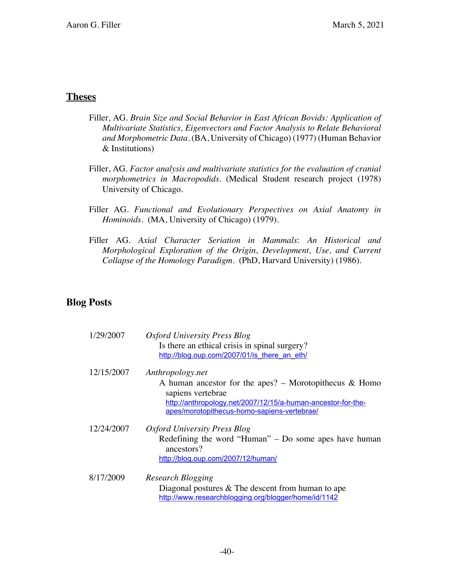#### **Theses**

- Filler, AG. *Brain Size and Social Behavior in East African Bovids: Application of Multivariate Statistics, Eigenvectors and Factor Analysis to Relate Behavioral and Morphometric Data.* (BA, University of Chicago) (1977) (Human Behavior & Institutions)
- Filler, AG. *Factor analysis and multivariate statistics for the evaluation of cranial morphometrics in Macropodids.* (Medical Student research project (1978) University of Chicago.
- Filler AG. *Functional and Evolutionary Perspectives on Axial Anatomy in Hominoids*. (MA, University of Chicago) (1979).
- Filler AG. *Axial Character Seriation in Mammals*: *An Historical and Morphological Exploration of the Origin, Development, Use, and Current Collapse of the Homology Paradigm.* (PhD, Harvard University) (1986).

# **Blog Posts**

| 1/29/2007  | Oxford University Press Blog                                                                                |
|------------|-------------------------------------------------------------------------------------------------------------|
|            | Is there an ethical crisis in spinal surgery?                                                               |
|            | http://blog.oup.com/2007/01/is there an eth/                                                                |
| 12/15/2007 | Anthropology.net                                                                                            |
|            | A human ancestor for the apes? – Morotopithecus $\&$ Homo                                                   |
|            | sapiens vertebrae                                                                                           |
|            | http://anthropology.net/2007/12/15/a-human-ancestor-for-the-<br>apes/morotopithecus-homo-sapiens-vertebrae/ |
|            |                                                                                                             |
| 12/24/2007 | Oxford University Press Blog                                                                                |
|            | Redefining the word "Human" $-$ Do some apes have human                                                     |
|            | ancestors?                                                                                                  |
|            | http://blog.oup.com/2007/12/human/                                                                          |
| 8/17/2009  | <b>Research Blogging</b>                                                                                    |
|            | Diagonal postures $&$ The descent from human to ape                                                         |
|            | http://www.researchblogging.org/blogger/home/id/1142                                                        |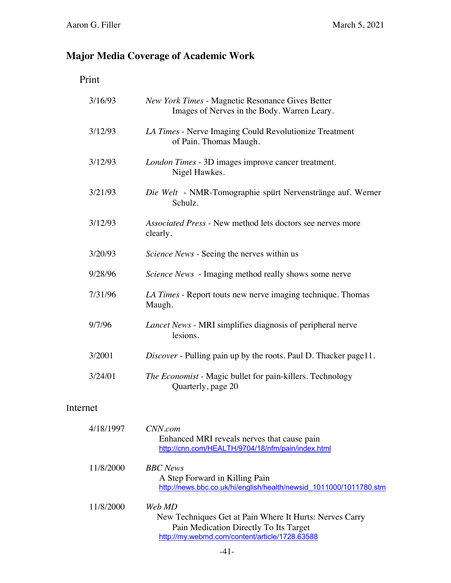# **Major Media Coverage of Academic Work**

|--|

| 3/16/93  | <b>New York Times - Magnetic Resonance Gives Better</b><br>Images of Nerves in the Body. Warren Leary. |
|----------|--------------------------------------------------------------------------------------------------------|
| 3/12/93  | LA Times - Nerve Imaging Could Revolutionize Treatment<br>of Pain. Thomas Maugh.                       |
| 3/12/93  | London Times - 3D images improve cancer treatment.<br>Nigel Hawkes.                                    |
| 3/21/93  | Die Welt - NMR-Tomographie spürt Nervenstränge auf. Werner<br>Schulz.                                  |
| 3/12/93  | Associated Press - New method lets doctors see nerves more<br>clearly.                                 |
| 3/20/93  | <i>Science News</i> - Seeing the nerves within us                                                      |
| 9/28/96  | Science News - Imaging method really shows some nerve                                                  |
| 7/31/96  | LA Times - Report touts new nerve imaging technique. Thomas<br>Maugh.                                  |
| 9/7/96   | <i>Lancet News</i> - MRI simplifies diagnosis of peripheral nerve<br>lesions.                          |
| 3/2001   | Discover - Pulling pain up by the roots. Paul D. Thacker page11.                                       |
| 3/24/01  | The Economist - Magic bullet for pain-killers. Technology<br>Quarterly, page 20                        |
| Internet |                                                                                                        |

| 4/18/1997 | CNN.com<br>Enhanced MRI reveals nerves that cause pain<br>http://cnn.com/HEALTH/9704/18/nfm/pain/index.html                                                   |
|-----------|---------------------------------------------------------------------------------------------------------------------------------------------------------------|
| 11/8/2000 | <b>BBC</b> News<br>A Step Forward in Killing Pain<br>http://news.bbc.co.uk/hi/english/health/newsid 1011000/1011780.stm                                       |
| 11/8/2000 | Web MD<br>New Techniques Get at Pain Where It Hurts: Nerves Carry<br>Pain Medication Directly To Its Target<br>http://my.webmd.com/content/article/1728.63588 |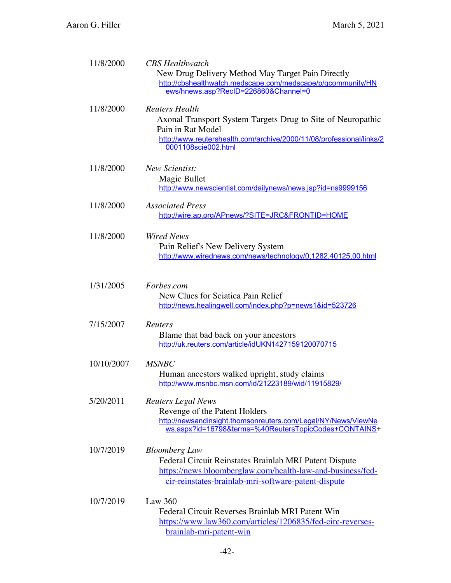| 11/8/2000  | <b>CBS</b> Healthwatch<br>New Drug Delivery Method May Target Pain Directly<br>http://cbshealthwatch.medscape.com/medscape/p/gcommunity/HN<br>ews/hnews.asp?RecID=226860&Channel=0                       |
|------------|----------------------------------------------------------------------------------------------------------------------------------------------------------------------------------------------------------|
| 11/8/2000  | <b>Reuters Health</b><br>Axonal Transport System Targets Drug to Site of Neuropathic<br>Pain in Rat Model<br>http://www.reutershealth.com/archive/2000/11/08/professional/links/2<br>0001108scie002.html |
| 11/8/2000  | <b>New Scientist:</b><br>Magic Bullet<br>http://www.newscientist.com/dailynews/news.jsp?id=ns9999156                                                                                                     |
| 11/8/2000  | <b>Associated Press</b><br>http://wire.ap.org/APnews/?SITE=JRC&FRONTID=HOME                                                                                                                              |
| 11/8/2000  | <b>Wired News</b><br>Pain Relief's New Delivery System<br>http://www.wirednews.com/news/technology/0,1282,40125,00.html                                                                                  |
| 1/31/2005  | Forbes.com<br>New Clues for Sciatica Pain Relief<br>http://news.healingwell.com/index.php?p=news1&id=523726                                                                                              |
| 7/15/2007  | <b>Reuters</b><br>Blame that bad back on your ancestors<br>http://uk.reuters.com/article/idUKN1427159120070715                                                                                           |
| 10/10/2007 | <b>MSNBC</b><br>Human ancestors walked upright, study claims<br>http://www.msnbc.msn.com/id/21223189/wid/11915829/                                                                                       |
| 5/20/2011  | <b>Reuters Legal News</b><br>Revenge of the Patent Holders<br>http://newsandinsight.thomsonreuters.com/Legal/NY/News/ViewNe<br>ws.aspx?id=16798&terms=%40ReutersTopicCodes+CONTAINS+                     |
| 10/7/2019  | <b>Bloomberg Law</b><br>Federal Circuit Reinstates Brainlab MRI Patent Dispute<br>https://news.bloomberglaw.com/health-law-and-business/fed-<br>cir-reinstates-brainlab-mri-software-patent-dispute      |
| 10/7/2019  | Law $360$<br>Federal Circuit Reverses Brainlab MRI Patent Win<br>https://www.law360.com/articles/1206835/fed-circ-reverses-<br>brainlab-mri-patent-win                                                   |